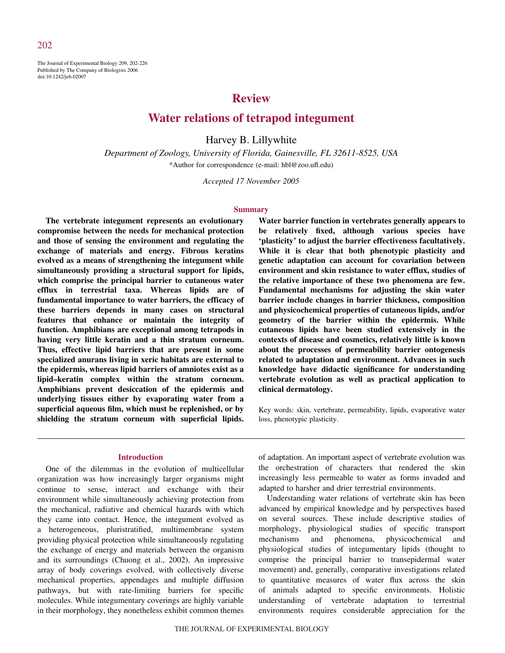The Journal of Experimental Biology 209, 202-226 Published by The Company of Biologists 2006 doi:10.1242/jeb.02007

# **Review**

# **Water relations of tetrapod integument**

Harvey B. Lillywhite

*Department of Zoology, University of Florida, Gainesville, FL 32611-8525, USA* \*Author for correspondence (e-mail: hbl@zoo.ufl.edu)

*Accepted 17 November 2005*

#### **Summary**

**The vertebrate integument represents an evolutionary compromise between the needs for mechanical protection and those of sensing the environment and regulating the exchange of materials and energy. Fibrous keratins evolved as a means of strengthening the integument while simultaneously providing a structural support for lipids, which comprise the principal barrier to cutaneous water efflux in terrestrial taxa. Whereas lipids are of fundamental importance to water barriers, the efficacy of these barriers depends in many cases on structural features that enhance or maintain the integrity of function. Amphibians are exceptional among tetrapods in having very little keratin and a thin stratum corneum. Thus, effective lipid barriers that are present in some specialized anurans living in xeric habitats are external to the epidermis, whereas lipid barriers of amniotes exist as a lipid–keratin complex within the stratum corneum. Amphibians prevent desiccation of the epidermis and underlying tissues either by evaporating water from a superficial aqueous film, which must be replenished, or by shielding the stratum corneum with superficial lipids.**

**Water barrier function in vertebrates generally appears to be relatively fixed, although various species have 'plasticity' to adjust the barrier effectiveness facultatively. While it is clear that both phenotypic plasticity and genetic adaptation can account for covariation between environment and skin resistance to water efflux, studies of the relative importance of these two phenomena are few. Fundamental mechanisms for adjusting the skin water barrier include changes in barrier thickness, composition and physicochemical properties of cutaneous lipids, and/or geometry of the barrier within the epidermis. While cutaneous lipids have been studied extensively in the contexts of disease and cosmetics, relatively little is known about the processes of permeability barrier ontogenesis related to adaptation and environment. Advances in such knowledge have didactic significance for understanding vertebrate evolution as well as practical application to clinical dermatology.**

Key words: skin, vertebrate, permeability, lipids, evaporative water loss, phenotypic plasticity.

#### **Introduction**

One of the dilemmas in the evolution of multicellular organization was how increasingly larger organisms might continue to sense, interact and exchange with their environment while simultaneously achieving protection from the mechanical, radiative and chemical hazards with which they came into contact. Hence, the integument evolved as a heterogeneous, pluristratified, multimembrane system providing physical protection while simultaneously regulating the exchange of energy and materials between the organism and its surroundings (Chuong et al., 2002). An impressive array of body coverings evolved, with collectively diverse mechanical properties, appendages and multiple diffusion pathways, but with rate-limiting barriers for specific molecules. While integumentary coverings are highly variable in their morphology, they nonetheless exhibit common themes of adaptation. An important aspect of vertebrate evolution was the orchestration of characters that rendered the skin increasingly less permeable to water as forms invaded and adapted to harsher and drier terrestrial environments.

Understanding water relations of vertebrate skin has been advanced by empirical knowledge and by perspectives based on several sources. These include descriptive studies of morphology, physiological studies of specific transport mechanisms and phenomena, physicochemical and physiological studies of integumentary lipids (thought to comprise the principal barrier to transepidermal water movement) and, generally, comparative investigations related to quantitative measures of water flux across the skin of animals adapted to specific environments. Holistic understanding of vertebrate adaptation to terrestrial environments requires considerable appreciation for the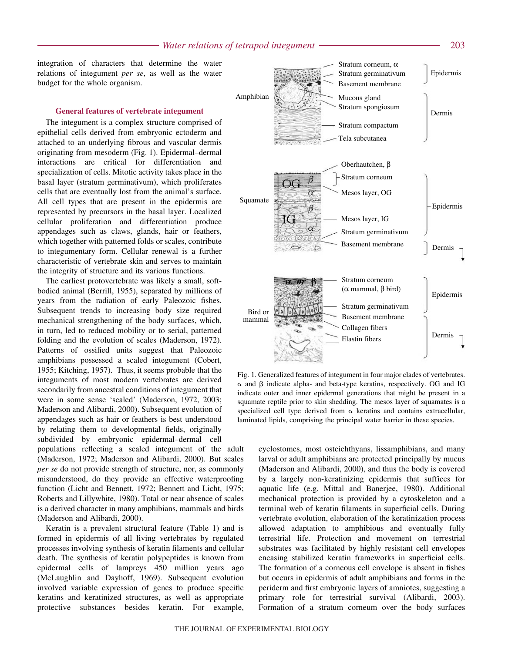integration of characters that determine the water relations of integument *per se*, as well as the water budget for the whole organism.

#### **General features of vertebrate integument**

The integument is a complex structure comprised of epithelial cells derived from embryonic ectoderm and attached to an underlying fibrous and vascular dermis originating from mesoderm (Fig. 1). Epidermal–dermal interactions are critical for differentiation and specialization of cells. Mitotic activity takes place in the basal layer (stratum germinativum), which proliferates cells that are eventually lost from the animal's surface. All cell types that are present in the epidermis are represented by precursors in the basal layer. Localized cellular proliferation and differentiation produce appendages such as claws, glands, hair or feathers, which together with patterned folds or scales, contribute to integumentary form. Cellular renewal is a further characteristic of vertebrate skin and serves to maintain the integrity of structure and its various functions.

The earliest protovertebrate was likely a small, softbodied animal (Berrill, 1955), separated by millions of years from the radiation of early Paleozoic fishes. Subsequent trends to increasing body size required mechanical strengthening of the body surfaces, which, in turn, led to reduced mobility or to serial, patterned folding and the evolution of scales (Maderson, 1972). Patterns of ossified units suggest that Paleozoic amphibians possessed a scaled integument (Cobert, 1955; Kitching, 1957). Thus, it seems probable that the integuments of most modern vertebrates are derived secondarily from ancestral conditions of integument that were in some sense 'scaled' (Maderson, 1972, 2003; Maderson and Alibardi, 2000). Subsequent evolution of appendages such as hair or feathers is best understood by relating them to developmental fields, originally subdivided by embryonic epidermal–dermal cell

populations reflecting a scaled integument of the adult (Maderson, 1972; Maderson and Alibardi, 2000). But scales *per se* do not provide strength of structure, nor, as commonly misunderstood, do they provide an effective waterproofing function (Licht and Bennett, 1972; Bennett and Licht, 1975; Roberts and Lillywhite, 1980). Total or near absence of scales is a derived character in many amphibians, mammals and birds (Maderson and Alibardi, 2000).

Keratin is a prevalent structural feature (Table 1) and is formed in epidermis of all living vertebrates by regulated processes involving synthesis of keratin filaments and cellular death. The synthesis of keratin polypeptides is known from epidermal cells of lampreys 450 million years ago (McLaughlin and Dayhoff, 1969). Subsequent evolution involved variable expression of genes to produce specific keratins and keratinized structures, as well as appropriate protective substances besides keratin. For example,



Fig. 1. Generalized features of integument in four major clades of vertebrates.  $\alpha$  and  $\beta$  indicate alpha- and beta-type keratins, respectively. OG and IG indicate outer and inner epidermal generations that might be present in a squamate reptile prior to skin shedding. The mesos layer of squamates is a specialized cell type derived from  $\alpha$  keratins and contains extracellular, laminated lipids, comprising the principal water barrier in these species.

cyclostomes, most osteichthyans, lissamphibians, and many larval or adult amphibians are protected principally by mucus (Maderson and Alibardi, 2000), and thus the body is covered by a largely non-keratinizing epidermis that suffices for aquatic life **(**e.g. Mittal and Banerjee, 1980**)**. Additional mechanical protection is provided by a cytoskeleton and a terminal web of keratin filaments in superficial cells. During vertebrate evolution, elaboration of the keratinization process allowed adaptation to amphibious and eventually fully terrestrial life. Protection and movement on terrestrial substrates was facilitated by highly resistant cell envelopes encasing stabilized keratin frameworks in superficial cells. The formation of a corneous cell envelope is absent in fishes but occurs in epidermis of adult amphibians and forms in the periderm and first embryonic layers of amniotes, suggesting a primary role for terrestrial survival (Alibardi, 2003). Formation of a stratum corneum over the body surfaces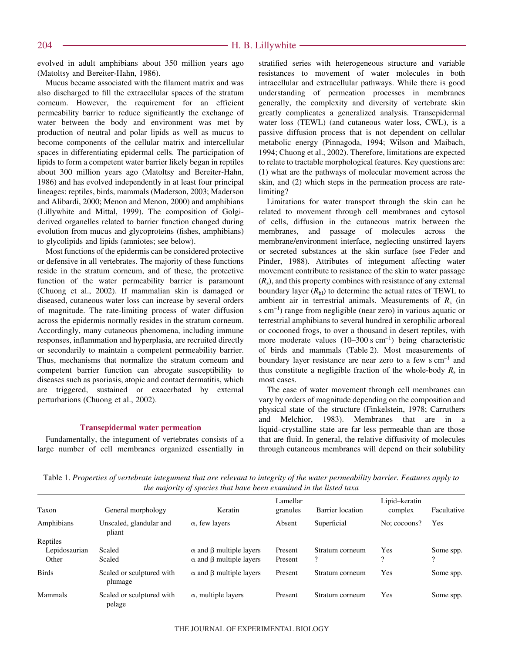### H. B. Lillywhite

evolved in adult amphibians about 350 million years ago (Matoltsy and Bereiter-Hahn, 1986).

Mucus became associated with the filament matrix and was also discharged to fill the extracellular spaces of the stratum corneum. However, the requirement for an efficient permeability barrier to reduce significantly the exchange of water between the body and environment was met by production of neutral and polar lipids as well as mucus to become components of the cellular matrix and intercellular spaces in differentiating epidermal cells. The participation of lipids to form a competent water barrier likely began in reptiles about 300 million years ago (Matoltsy and Bereiter-Hahn, 1986) and has evolved independently in at least four principal lineages: reptiles, birds, mammals (Maderson, 2003; Maderson and Alibardi, 2000; Menon and Menon, 2000) and amphibians (Lillywhite and Mittal, 1999). The composition of Golgiderived organelles related to barrier function changed during evolution from mucus and glycoproteins (fishes, amphibians) to glycolipids and lipids (amniotes; see below).

Most functions of the epidermis can be considered protective or defensive in all vertebrates. The majority of these functions reside in the stratum corneum, and of these, the protective function of the water permeability barrier is paramount (Chuong et al., 2002). If mammalian skin is damaged or diseased, cutaneous water loss can increase by several orders of magnitude. The rate-limiting process of water diffusion across the epidermis normally resides in the stratum corneum. Accordingly, many cutaneous phenomena, including immune responses, inflammation and hyperplasia, are recruited directly or secondarily to maintain a competent permeability barrier. Thus, mechanisms that normalize the stratum corneum and competent barrier function can abrogate susceptibility to diseases such as psoriasis, atopic and contact dermatitis, which are triggered, sustained or exacerbated by external perturbations (Chuong et al., 2002).

#### **Transepidermal water permeation**

Fundamentally, the integument of vertebrates consists of a large number of cell membranes organized essentially in

stratified series with heterogeneous structure and variable resistances to movement of water molecules in both intracellular and extracellular pathways. While there is good understanding of permeation processes in membranes generally, the complexity and diversity of vertebrate skin greatly complicates a generalized analysis. Transepidermal water loss (TEWL) (and cutaneous water loss, CWL), is a passive diffusion process that is not dependent on cellular metabolic energy (Pinnagoda, 1994; Wilson and Maibach, 1994; Chuong et al., 2002). Therefore, limitations are expected to relate to tractable morphological features. Key questions are: (1) what are the pathways of molecular movement across the skin, and (2) which steps in the permeation process are ratelimiting?

Limitations for water transport through the skin can be related to movement through cell membranes and cytosol of cells, diffusion in the cutaneous matrix between the membranes, and passage of molecules across the membrane/environment interface, neglecting unstirred layers or secreted substances at the skin surface (see Feder and Pinder, 1988). Attributes of integument affecting water movement contribute to resistance of the skin to water passage (*R*s), and this property combines with resistance of any external boundary layer  $(R<sub>bl</sub>)$  to determine the actual rates of TEWL to ambient air in terrestrial animals. Measurements of  $R<sub>s</sub>$  (in s cm<sup>-1</sup>) range from negligible (near zero) in various aquatic or terrestrial amphibians to several hundred in xerophilic arboreal or cocooned frogs, to over a thousand in desert reptiles, with more moderate values  $(10-300 \text{ s cm}^{-1})$  being characteristic of birds and mammals (Table 2). Most measurements of boundary layer resistance are near zero to a few  $s$  cm<sup>-1</sup> and thus constitute a negligible fraction of the whole-body  $R_s$  in most cases.

The ease of water movement through cell membranes can vary by orders of magnitude depending on the composition and physical state of the structure (Finkelstein, 1978; Carruthers and Melchior, 1983). Membranes that are in a liquid–crystalline state are far less permeable than are those that are fluid. In general, the relative diffusivity of molecules through cutaneous membranes will depend on their solubility

Table 1. Properties of vertebrate integument that are relevant to integrity of the water permeability barrier. Features apply to *the majority of species that have been examined in the listed taxa*

| Taxon         | General morphology                   | Keratin                              | Lamellar<br>granules | Barrier location | Lipid-keratin<br>complex | Facultative    |
|---------------|--------------------------------------|--------------------------------------|----------------------|------------------|--------------------------|----------------|
| Amphibians    | Unscaled, glandular and<br>pliant    | $\alpha$ , few layers                | Absent               | Superficial      | No: cocoons?             | Yes            |
| Reptiles      |                                      |                                      |                      |                  |                          |                |
| Lepidosaurian | Scaled                               | $\alpha$ and $\beta$ multiple layers | Present              | Stratum corneum  | <b>Yes</b>               | Some spp.      |
| Other         | Scaled                               | $\alpha$ and $\beta$ multiple layers | Present              | ?                | ?                        | $\overline{?}$ |
| <b>Birds</b>  | Scaled or sculptured with<br>plumage | $\alpha$ and $\beta$ multiple layers | Present              | Stratum corneum  | Yes                      | Some spp.      |
| Mammals       | Scaled or sculptured with<br>pelage  | $\alpha$ , multiple layers           | Present              | Stratum corneum  | Yes                      | Some spp.      |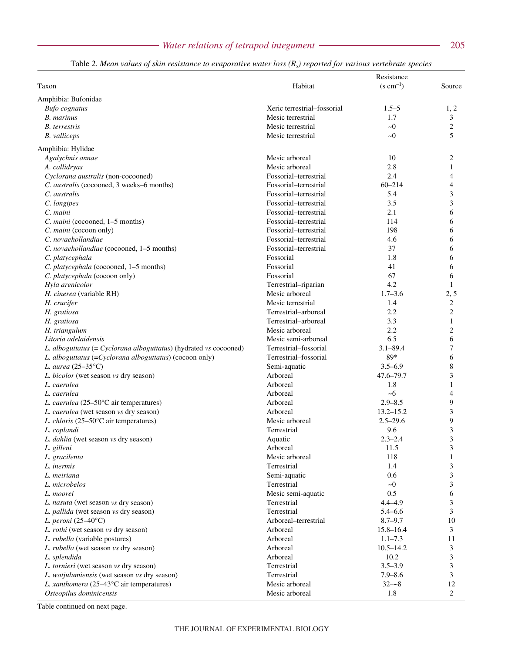|                                                                   | Resistance                  |                       |                |
|-------------------------------------------------------------------|-----------------------------|-----------------------|----------------|
| Taxon                                                             | Habitat                     | $(s \text{ cm}^{-1})$ | Source         |
| Amphibia: Bufonidae                                               |                             |                       |                |
| <b>Bufo</b> cognatus                                              | Xeric terrestrial-fossorial | $1.5 - 5$             | 1, 2           |
| <b>B.</b> marinus                                                 | Mesic terrestrial           | 1.7                   | 3              |
| <b>B.</b> terrestris                                              | Mesic terrestrial           | $\sim 0$              | $\overline{c}$ |
| <b>B.</b> valliceps                                               | Mesic terrestrial           | $\sim 0$              | 5              |
| Amphibia: Hylidae                                                 |                             |                       |                |
| Agalychnis annae                                                  | Mesic arboreal              | 10                    | 2              |
| A. callidryas                                                     | Mesic arboreal              | 2.8                   | 1              |
| Cyclorana australis (non-cocooned)                                | Fossorial-terrestrial       | 2.4                   | 4              |
| C. australis (cocooned, 3 weeks-6 months)                         | Fossorial-terrestrial       | $60 - 214$            | 4              |
| C. australis                                                      | Fossorial-terrestrial       | 5.4                   | 3              |
| C. longipes                                                       | Fossorial-terrestrial       | 3.5                   | 3              |
| C. maini                                                          | Fossorial-terrestrial       | 2.1                   | 6              |
| C. maini (cocooned, 1-5 months)                                   | Fossorial-terrestrial       | 114                   | 6              |
| C. maini (cocoon only)                                            | Fossorial-terrestrial       | 198                   | 6              |
| C. novaehollandiae                                                | Fossorial-terrestrial       | 4.6                   | 6              |
| C. novaehollandiae (cocooned, 1-5 months)                         | Fossorial-terrestrial       | 37                    | 6              |
|                                                                   | Fossorial                   | 1.8                   | 6              |
| C. platycephala                                                   | Fossorial                   | 41                    |                |
| C. platycephala (cocooned, 1-5 months)                            | Fossorial                   | 67                    | 6              |
| C. platycephala (cocoon only)                                     |                             | 4.2                   | 6              |
| Hyla arenicolor                                                   | Terrestrial-riparian        |                       | 1              |
| H. cinerea (variable RH)                                          | Mesic arboreal              | $1.7 - 3.6$           | 2, 5           |
| H. crucifer                                                       | Mesic terrestrial           | 1.4                   | 2              |
| H. gratiosa                                                       | Terrestrial-arboreal        | 2.2                   | $\overline{c}$ |
| H. gratiosa                                                       | Terrestrial-arboreal        | 3.3                   | 1              |
| H. triangulum                                                     | Mesic arboreal              | 2.2                   | $\overline{c}$ |
| Litoria adelaidensis                                              | Mesic semi-arboreal         | 6.5                   | 6              |
| L. alboguttatus (= Cyclorana alboguttatus) (hydrated vs cocooned) | Terrestrial-fossorial       | $3.1 - 89.4$          | 7              |
| L. alboguttatus (=Cyclorana alboguttatus) (cocoon only)           | Terrestrial-fossorial       | 89*                   | 6              |
| L. aurea $(25-35^{\circ}C)$                                       | Semi-aquatic                | $3.5 - 6.9$           | 8              |
| L. bicolor (wet season vs dry season)                             | Arboreal                    | 47.6–79.7             | 3              |
| L. caerulea                                                       | Arboreal                    | 1.8                   | 1              |
| L. caerulea                                                       | Arboreal                    | ~1                    | 4              |
| L. caerulea (25-50°C air temperatures)                            | Arboreal                    | $2.9 - 8.5$           | 9              |
| L. caerulea (wet season vs dry season)                            | Arboreal                    | $13.2 - 15.2$         | 3              |
| L. chloris (25-50 $\rm{^{\circ}C}$ air temperatures)              | Mesic arboreal              | $2.5 - 29.6$          | 9              |
| L. coplandi                                                       | Terrestrial                 | 9.6                   | 3              |
| L. dahlia (wet season vs dry season)                              | Aquatic                     | $2.3 - 2.4$           | 3              |
| L. gilleni                                                        | Arboreal                    | 11.5                  | 3              |
| L. gracilenta                                                     | Mesic arboreal              | 118                   | 1              |
| L. inermis                                                        | Terrestrial                 | 1.4                   | 3              |
| L. meiriana                                                       | Semi-aquatic                | 0.6                   | 3              |
| L. microbelos                                                     | Terrestrial                 | $\sim 0$              | 3              |
| L. moorei                                                         | Mesic semi-aquatic          | 0.5                   | 6              |
| L. nasuta (wet season vs dry season)                              | Terrestrial                 | $4.4 - 4.9$           | 3              |
| L. pallida (wet season vs dry season)                             | Terrestrial                 | $5.4 - 6.6$           | 3              |
| L. peroni $(25-40^{\circ}C)$                                      | Arboreal-terrestrial        | $8.7 - 9.7$           | 10             |
| L. rothi (wet season vs dry season)                               | Arboreal                    | $15.8 - 16.4$         | 3              |
| L. rubella (variable postures)                                    | Arboreal                    | $1.1 - 7.3$           | 11             |
| L. rubella (wet season vs dry season)                             | Arboreal                    | $10.5 - 14.2$         | 3              |
| L. splendida                                                      | Arboreal                    | 10.2                  | 3              |
| L. tornieri (wet season vs dry season)                            | Terrestrial                 | $3.5 - 3.9$           | 3              |
| L. wotjulumiensis (wet season vs dry season)                      | Terrestrial                 | $7.9 - 8.6$           | 3              |
| L. xanthomera (25-43 $^{\circ}$ C air temperatures)               | Mesic arboreal              | $32 - 8$              | 12             |
| Osteopilus dominicensis                                           | Mesic arboreal              | 1.8                   | 2              |

# Table 2*. Mean values of skin resistance to evaporative water loss (R<sub>s</sub>) reported for various vertebrate species*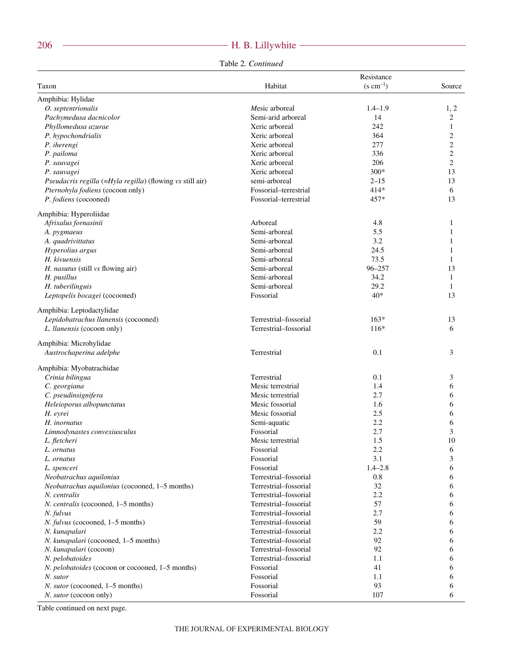# 206 – H. B. Lillywhite – H. B. Lillywhite

# Table·2*. Continued*

|                                                                           |                       | Resistance            |                |
|---------------------------------------------------------------------------|-----------------------|-----------------------|----------------|
| Taxon                                                                     | Habitat               | $(s \text{ cm}^{-1})$ | Source         |
|                                                                           |                       |                       |                |
| Amphibia: Hylidae                                                         |                       |                       |                |
| O. septentrionalis                                                        | Mesic arboreal        | $1.4 - 1.9$           | 1, 2           |
| Pachymedusa dacnicolor                                                    | Semi-arid arboreal    | 14                    | $\overline{c}$ |
| Phyllomedusa azurae                                                       | Xeric arboreal        | 242                   | $\mathbf{1}$   |
| P. hypochondrialis                                                        | Xeric arboreal        | 364                   | $\overline{c}$ |
| P. iherengi                                                               | Xeric arboreal        | 277                   | $\overline{2}$ |
| P. pailoma                                                                | Xeric arboreal        | 336                   | $\overline{c}$ |
| P. sauvagei                                                               | Xeric arboreal        | 206                   | $\overline{c}$ |
| P. sauvagei                                                               | Xeric arboreal        | 300*                  | 13             |
| <i>Pseudacris regilla</i> (= <i>Hyla regilla</i> ) (flowing vs still air) | semi-arboreal         | $2 - 15$              | 13             |
| Pternohyla fodiens (cocoon only)                                          | Fossorial-terrestrial | $414*$                | 6              |
| P. fodiens (cocooned)                                                     | Fossorial-terrestrial | 457*                  | 13             |
| Amphibia: Hyperoliidae                                                    |                       |                       |                |
| Afrixalus fornasinii                                                      | Arboreal              | 4.8                   | 1              |
| A. pygmaeus                                                               | Semi-arboreal         | 5.5                   | 1              |
| A. quadrivittatus                                                         | Semi-arboreal         | 3.2                   |                |
| Hyperolius argus                                                          | Semi-arboreal         | 24.5                  |                |
| H. kivuensis                                                              | Semi-arboreal         | 73.5                  | 1              |
| H. nasutus (still vs flowing air)                                         | Semi-arboreal         | $96 - 257$            | 13             |
| H. pusillus                                                               | Semi-arboreal         | 34.2                  | 1              |
|                                                                           | Semi-arboreal         | 29.2                  |                |
| H. tuberilinguis                                                          |                       | $40*$                 | 1              |
| Leptopelis bocagei (cocooned)                                             | Fossorial             |                       | 13             |
| Amphibia: Leptodactylidae                                                 |                       |                       |                |
| Lepidobatrachus llanensis (cocooned)                                      | Terrestrial-fossorial | $163*$                | 13             |
| L. llanensis (cocoon only)                                                | Terrestrial-fossorial | $116*$                | 6              |
| Amphibia: Microhylidae                                                    |                       |                       |                |
| Austrochaperina adelphe                                                   | Terrestrial           | 0.1                   | 3              |
|                                                                           |                       |                       |                |
| Amphibia: Myobatrachidae                                                  |                       |                       |                |
| Crinia bilingua                                                           | Terrestrial           | 0.1                   | 3              |
| C. georgiana                                                              | Mesic terrestrial     | 1.4                   | 6              |
| C. pseudinsignifera                                                       | Mesic terrestrial     | 2.7                   | 6              |
| Heleioporus albopunctatus                                                 | Mesic fossorial       | 1.6                   | 6              |
| H. eyrei                                                                  | Mesic fossorial       | 2.5                   | 6              |
| H. inornatus                                                              | Semi-aquatic          | 2.2                   | 6              |
| Limnodynastes convexiusculus                                              | Fossorial             | 2.7                   | 3              |
| L. fletcheri                                                              | Mesic terrestrial     | 1.5                   | 10             |
| L. ornatus                                                                | Fossorial             | 2.2                   | 6              |
| L. ornatus                                                                | Fossorial             | 3.1                   | 3              |
| L. spenceri                                                               | Fossorial             | $1.4 - 2.8$           | 6              |
| Neobatrachus aquilonius                                                   | Terrestrial-fossorial | 0.8                   | 6              |
| Neobatrachus aquilonius (cocooned, 1-5 months)                            | Terrestrial-fossorial | 32                    | 6              |
| N. centralis                                                              | Terrestrial-fossorial | 2.2                   | 6              |
| N. centralis (cocooned, 1–5 months)                                       | Terrestrial-fossorial | 57                    |                |
| N. fulvus                                                                 | Terrestrial-fossorial | 2.7                   | 6              |
| N. fulvus (cocooned, 1-5 months)                                          | Terrestrial-fossorial | 59                    | 6              |
|                                                                           | Terrestrial-fossorial | 2.2                   | 6              |
| N. kunapalari                                                             |                       |                       |                |
| N. kunapalari (cocooned, 1-5 months)                                      | Terrestrial-fossorial | 92                    |                |
| N. kunapalari (cocoon)                                                    | Terrestrial-fossorial | 92                    | 6              |
| N. pelobatoides                                                           | Terrestrial-fossorial | 1.1                   | 6              |
| N. pelobatoides (cocoon or cocooned, 1-5 months)                          | Fossorial             | 41                    | 6              |
| N. sutor                                                                  | Fossorial             | 1.1                   | 6              |
| N. sutor (cocooned, 1-5 months)                                           | Fossorial             | 93                    | 6              |
| N. sutor (cocoon only)                                                    | Fossorial             | 107                   | 6              |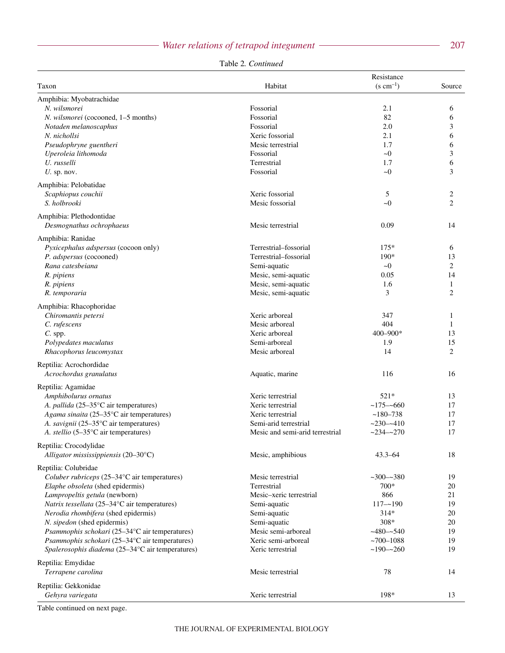|                                                  |                                 | Resistance    |                |
|--------------------------------------------------|---------------------------------|---------------|----------------|
| Taxon                                            | Habitat                         | $(s cm^{-1})$ | Source         |
| Amphibia: Myobatrachidae                         |                                 |               |                |
| N. wilsmorei                                     | Fossorial                       | 2.1           | 6              |
| N. wilsmorei (cocooned, 1-5 months)              | Fossorial                       | 82            | 6              |
| Notaden melanoscaphus                            | Fossorial                       | 2.0           | 3              |
| N. nichollsi                                     | Xeric fossorial                 | 2.1           | 6              |
| Pseudophryne guentheri                           | Mesic terrestrial               | 1.7           | 6              |
| Uperoleia lithomoda                              | Fossorial                       | $\sim 0$      | 3              |
| U. russelli                                      | Terrestrial                     | 1.7           | 6              |
|                                                  | Fossorial                       | $\sim 0$      | 3              |
| $U$ . sp. nov.                                   |                                 |               |                |
| Amphibia: Pelobatidae                            |                                 |               |                |
| Scaphiopus couchii                               | Xeric fossorial                 | 5             | 2              |
| S. holbrooki                                     | Mesic fossorial                 | $\sim 0$      | 2              |
| Amphibia: Plethodontidae                         |                                 |               |                |
| Desmognathus ochrophaeus                         | Mesic terrestrial               | 0.09          | 14             |
|                                                  |                                 |               |                |
| Amphibia: Ranidae                                |                                 |               |                |
| Pyxicephalus adspersus (cocoon only)             | Terrestrial-fossorial           | $175*$        | 6              |
| P. adspersus (cocooned)                          | Terrestrial-fossorial           | $190*$        | 13             |
| Rana catesbeiana                                 | Semi-aquatic                    | $\sim 0$      | $\overline{c}$ |
| R. pipiens                                       | Mesic, semi-aquatic             | 0.05          | 14             |
| R. pipiens                                       | Mesic, semi-aquatic             | 1.6           | $\mathbf{1}$   |
| R. temporaria                                    | Mesic, semi-aquatic             | 3             | $\overline{c}$ |
|                                                  |                                 |               |                |
| Amphibia: Rhacophoridae                          |                                 |               |                |
| Chiromantis petersi                              | Xeric arboreal                  | 347           | 1              |
| C. rufescens                                     | Mesic arboreal                  | 404           | 1              |
| C. spp.                                          | Xeric arboreal                  | 400-900*      | 13             |
| Polypedates maculatus                            | Semi-arboreal                   | 1.9           | 15             |
| Rhacophorus leucomystax                          | Mesic arboreal                  | 14            | 2              |
| Reptilia: Acrochordidae                          |                                 |               |                |
| Acrochordus granulatus                           | Aquatic, marine                 | 116           | 16             |
|                                                  |                                 |               |                |
| Reptilia: Agamidae                               |                                 |               |                |
| Amphibolurus ornatus                             | Xeric terrestrial               | $521*$        | 13             |
| A. pallida (25-35°C air temperatures)            | Xeric terrestrial               | $~175 - 660$  | 17             |
| Agama sinaita (25-35°C air temperatures)         | Xeric terrestrial               | $~180 - 738$  | 17             |
| A. savignii (25-35°C air temperatures)           | Semi-arid terrestrial           | $~230 - 410$  | 17             |
| A. stellio (5-35°C air temperatures)             | Mesic and semi-arid terrestrial | $~234 - 270$  | 17             |
| Reptilia: Crocodylidae                           |                                 |               |                |
| Alligator mississippiensis (20-30°C)             | Mesic, amphibious               | $43.3 - 64$   | 18             |
|                                                  |                                 |               |                |
| Reptilia: Colubridae                             |                                 |               |                |
| Coluber rubriceps (25–34°C air temperatures)     | Mesic terrestrial               | $-300 - -380$ | 19             |
| Elaphe obsoleta (shed epidermis)                 | Terrestrial                     | 700*          | 20             |
| Lampropeltis getula (newborn)                    | Mesic-xeric terrestrial         | 866           | 21             |
| Natrix tessellata (25-34°C air temperatures)     | Semi-aquatic                    | $117 - -190$  | 19             |
| Nerodia rhombifera (shed epidermis)              | Semi-aquatic                    | $314*$        | 20             |
| N. sipedon (shed epidermis)                      | Semi-aquatic                    | 308*          | 20             |
| Psammophis schokari (25-34°C air temperatures)   | Mesic semi-arboreal             | $~1480 - 540$ | 19             |
| Psammophis schokari (25-34°C air temperatures)   | Xeric semi-arboreal             | $~100 - 1088$ | 19             |
| Spalerosophis diadema (25-34°C air temperatures) | Xeric terrestrial               | $~190 - 260$  | 19             |
|                                                  |                                 |               |                |
| Reptilia: Emydidae                               |                                 |               |                |
| Terrapene carolina                               | Mesic terrestrial               | 78            | 14             |
| Reptilia: Gekkonidae                             |                                 |               |                |
| Gehyra variegata                                 | Xeric terrestrial               | 198*          | 13             |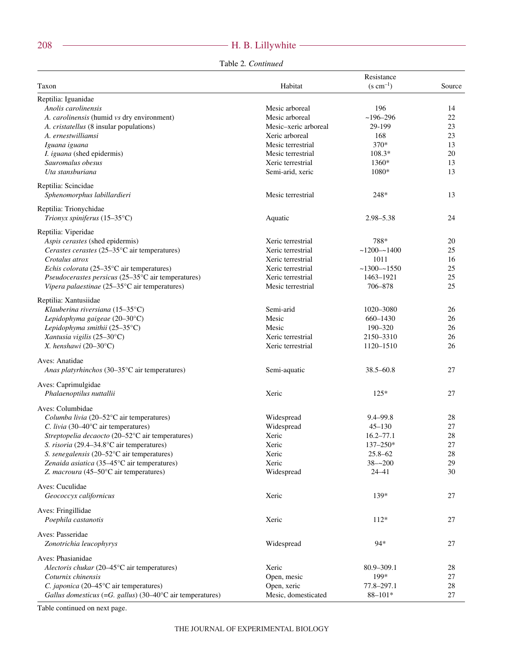# 208 – H. B. Lillywhite

Table·2*. Continued*

| Taxon                                                                | Habitat              | Resistance<br>$(s \text{ cm}^{-1})$ | Source   |  |
|----------------------------------------------------------------------|----------------------|-------------------------------------|----------|--|
|                                                                      |                      |                                     |          |  |
| Reptilia: Iguanidae                                                  |                      |                                     |          |  |
| Anolis carolinensis                                                  | Mesic arboreal       | 196                                 | 14       |  |
| A. carolinensis (humid vs dry environment)                           | Mesic arboreal       | $~196 - 296$                        | $22\,$   |  |
| A. cristatellus (8 insular populations)                              | Mesic-xeric arboreal | 29-199                              | 23       |  |
| A. ernestwilliamsi                                                   | Xeric arboreal       | 168                                 | 23       |  |
| Iguana iguana                                                        | Mesic terrestrial    | 370*                                | 13       |  |
| I. iguana (shed epidermis)                                           | Mesic terrestrial    | $108.3*$                            | 20       |  |
| Sauromalus obesus<br>Uta stansburiana                                | Xeric terrestrial    | 1360*<br>1080*                      | 13<br>13 |  |
| Reptilia: Scincidae                                                  | Semi-arid, xeric     |                                     |          |  |
| Sphenomorphus labillardieri                                          | Mesic terrestrial    | 248*                                | 13       |  |
| Reptilia: Trionychidae                                               |                      |                                     |          |  |
| Trionyx spiniferus (15-35°C)                                         | Aquatic              | $2.98 - 5.38$                       | 24       |  |
| Reptilia: Viperidae                                                  |                      |                                     |          |  |
| Aspis cerastes (shed epidermis)                                      | Xeric terrestrial    | 788*                                | 20       |  |
| Cerastes cerastes (25-35°C air temperatures)                         | Xeric terrestrial    | $~1200 - 1400$                      | 25       |  |
| Crotalus atrox                                                       | Xeric terrestrial    | 1011                                | 16       |  |
| Echis colorata (25-35°C air temperatures)                            | Xeric terrestrial    | $~1300 - 1550$                      | 25       |  |
| Pseudocerastes persicus (25-35°C air temperatures)                   | Xeric terrestrial    | 1463-1921                           | 25       |  |
| Vipera palaestinae (25-35°C air temperatures)                        | Mesic terrestrial    | 706-878                             | 25       |  |
|                                                                      |                      |                                     |          |  |
| Reptilia: Xantusiidae                                                |                      |                                     |          |  |
| Klauberina riversiana (15-35°C)                                      | Semi-arid            | 1020-3080                           | 26       |  |
| Lepidophyma gaigeae (20-30°C)                                        | Mesic                | 660-1430                            | 26       |  |
| Lepidophyma smithii (25-35°C)                                        | Mesic                | 190-320                             | 26       |  |
| Xantusia vigilis (25-30°C)                                           | Xeric terrestrial    | 2150-3310                           | 26       |  |
| X. henshawi (20-30°C)                                                | Xeric terrestrial    | 1120-1510                           | 26       |  |
| Aves: Anatidae                                                       |                      |                                     |          |  |
| Anas platyrhinchos (30-35°C air temperatures)                        | Semi-aquatic         | $38.5 - 60.8$                       | 27       |  |
| Aves: Caprimulgidae                                                  |                      |                                     |          |  |
| Phalaenoptilus nuttallii                                             | Xeric                | $125*$                              | 27       |  |
| Aves: Columbidae                                                     |                      |                                     |          |  |
| Columba livia (20-52°C air temperatures)                             | Widespread           | 9.4-99.8                            | 28       |  |
| C. livia $(30-40^{\circ}$ C air temperatures)                        | Widespread           | $45 - 130$                          | 27       |  |
| Streptopelia decaocto (20-52°C air temperatures)                     | Xeric                | $16.2 - 77.1$                       | $28\,$   |  |
| S. risoria (29.4–34.8°C air temperatures)                            | Xeric                | $137 - 250*$                        | 27       |  |
| S. senegalensis (20–52°C air temperatures)                           | Xeric                | $25.8 - 62$                         | 28       |  |
| Zenaida asiatica (35-45°C air temperatures)                          | Xeric                | $38 - 200$                          | 29       |  |
| Z. macroura (45-50°C air temperatures)                               | Widespread           | $24 - 41$                           | 30       |  |
|                                                                      |                      |                                     |          |  |
| Aves: Cuculidae                                                      |                      | 139*                                |          |  |
| Geococcyx californicus                                               | Xeric                |                                     | 27       |  |
| Aves: Fringillidae                                                   |                      |                                     |          |  |
| Poephila castanotis                                                  | Xeric                | $112*$                              | 27       |  |
| Aves: Passeridae                                                     |                      |                                     |          |  |
| Zonotrichia leucophyrys                                              | Widespread           | $94*$                               | 27       |  |
| Aves: Phasianidae                                                    |                      |                                     |          |  |
| Alectoris chukar (20-45°C air temperatures)                          | Xeric                | 80.9-309.1                          | 28       |  |
| Coturnix chinensis                                                   | Open, mesic          | 199*                                | 27       |  |
| C. japonica (20-45°C air temperatures)                               | Open, xeric          | 77.8-297.1                          | $28\,$   |  |
| Gallus domesticus (=G. gallus) (30–40 $^{\circ}$ C air temperatures) | Mesic, domesticated  | $88 - 101*$                         | 27       |  |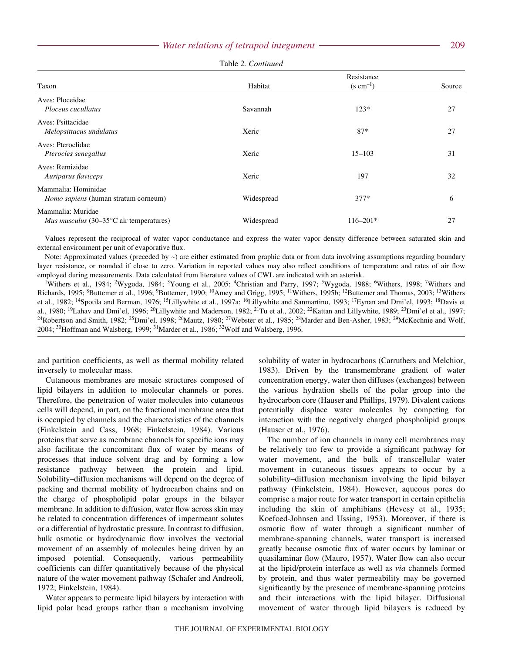|  | Table 2. Continued |
|--|--------------------|
|--|--------------------|

|                                                                               |            | Resistance            |        |
|-------------------------------------------------------------------------------|------------|-----------------------|--------|
| Taxon                                                                         | Habitat    | $(s \text{ cm}^{-1})$ | Source |
| Aves: Ploceidae<br>Ploceus cucullatus                                         | Savannah   | $123*$                | 27     |
| Aves: Psittacidae<br>Melopsittacus undulatus                                  | Xeric      | $87*$                 | 27     |
| Aves: Pteroclidae<br>Pterocles senegallus                                     | Xeric      | $15 - 103$            | 31     |
| Aves: Remizidae<br>Auriparus flaviceps                                        | Xeric      | 197                   | 32     |
| Mammalia: Hominidae<br><i>Homo sapiens</i> (human stratum corneum)            | Widespread | $377*$                | 6      |
| Mammalia: Muridae<br>Mus musculus $(30-35^{\circ}C \text{ air temperatures})$ | Widespread | $116 - 201*$          | 27     |

Values represent the reciprocal of water vapor conductance and express the water vapor density difference between saturated skin and external environment per unit of evaporative flux.

Note: Approximated values (preceded by  $\sim$ ) are either estimated from graphic data or from data involving assumptions regarding boundary layer resistance, or rounded if close to zero. Variation in reported values may also reflect conditions of temperature and rates of air flow employed during measurements. Data calculated from literature values of CWL are indicated with an asterisk.

<sup>1</sup>Withers et al., 1984; <sup>2</sup>Wygoda, 1984; <sup>3</sup>Young et al., 2005; <sup>4</sup>Christian and Parry, 1997; <sup>5</sup>Wygoda, 1988; <sup>6</sup>Withers, 1998; <sup>7</sup>Withers and Richards, 1995; <sup>8</sup>Buttemer et al., 1996; <sup>9</sup>Buttemer, 1990; <sup>10</sup>Amey and Grigg, 1995; <sup>11</sup>Withers, 1995b; <sup>12</sup>Buttemer and Thomas, 2003; <sup>13</sup>Withers et al., 1982; <sup>14</sup>Spotila and Berman, 1976; <sup>15</sup>Lillywhite et al., 1997a; <sup>16</sup>Lillywhite and Sanmartino, 1993; <sup>17</sup>Eynan and Dmi'el, 1993; <sup>18</sup>Davis et al., 1980; <sup>19</sup>Lahav and Dmi'el, 1996; <sup>20</sup>Lillywhite and Maderson, 1982; <sup>21</sup>Tu et al., 2002; <sup>22</sup>Kattan and Lillywhite, 1989; <sup>23</sup>Dmi'el et al., 1997; <sup>24</sup>Robertson and Smith, 1982; <sup>25</sup>Dmi'el, 1998; <sup>26</sup>Mautz, 1980; <sup>27</sup>Webster et al., 1985; <sup>28</sup>Marder and Ben-Asher, 1983; <sup>29</sup>McKechnie and Wolf, 2004; <sup>30</sup>Hoffman and Walsberg, 1999; <sup>31</sup>Marder et al., 1986; <sup>32</sup>Wolf and Walsberg, 1996.

and partition coefficients, as well as thermal mobility related inversely to molecular mass.

Cutaneous membranes are mosaic structures composed of lipid bilayers in addition to molecular channels or pores. Therefore, the penetration of water molecules into cutaneous cells will depend, in part, on the fractional membrane area that is occupied by channels and the characteristics of the channels (Finkelstein and Cass, 1968; Finkelstein, 1984). Various proteins that serve as membrane channels for specific ions may also facilitate the concomitant flux of water by means of processes that induce solvent drag and by forming a low resistance pathway between the protein and lipid. Solubility–diffusion mechanisms will depend on the degree of packing and thermal mobility of hydrocarbon chains and on the charge of phospholipid polar groups in the bilayer membrane. In addition to diffusion, water flow across skin may be related to concentration differences of impermeant solutes or a differential of hydrostatic pressure. In contrast to diffusion, bulk osmotic or hydrodynamic flow involves the vectorial movement of an assembly of molecules being driven by an imposed potential. Consequently, various permeability coefficients can differ quantitatively because of the physical nature of the water movement pathway (Schafer and Andreoli, 1972; Finkelstein, 1984).

Water appears to permeate lipid bilayers by interaction with lipid polar head groups rather than a mechanism involving

solubility of water in hydrocarbons (Carruthers and Melchior, 1983). Driven by the transmembrane gradient of water concentration energy, water then diffuses (exchanges) between the various hydration shells of the polar group into the hydrocarbon core (Hauser and Phillips, 1979). Divalent cations potentially displace water molecules by competing for interaction with the negatively charged phospholipid groups (Hauser et al., 1976).

The number of ion channels in many cell membranes may be relatively too few to provide a significant pathway for water movement, and the bulk of transcellular water movement in cutaneous tissues appears to occur by a solubility–diffusion mechanism involving the lipid bilayer pathway (Finkelstein, 1984). However, aqueous pores do comprise a major route for water transport in certain epithelia including the skin of amphibians (Hevesy et al., 1935; Koefoed-Johnsen and Ussing, 1953). Moreover, if there is osmotic flow of water through a significant number of membrane-spanning channels, water transport is increased greatly because osmotic flux of water occurs by laminar or quasilaminar flow (Mauro, 1957). Water flow can also occur at the lipid/protein interface as well as *via* channels formed by protein, and thus water permeability may be governed significantly by the presence of membrane-spanning proteins and their interactions with the lipid bilayer. Diffusional movement of water through lipid bilayers is reduced by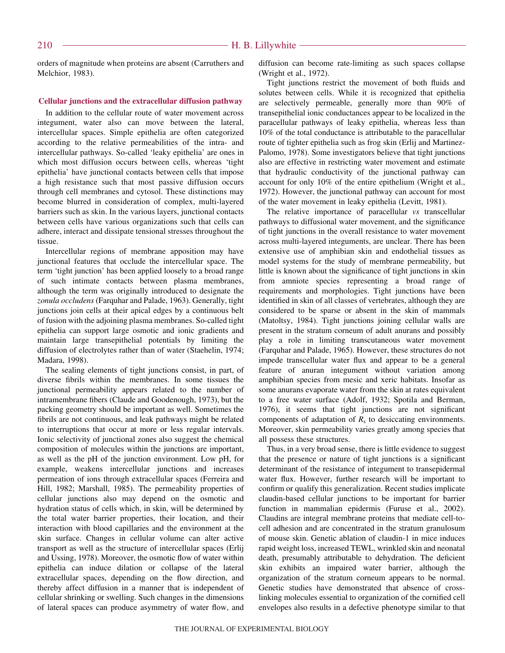orders of magnitude when proteins are absent (Carruthers and Melchior, 1983).

#### **Cellular junctions and the extracellular diffusion pathway**

In addition to the cellular route of water movement across integument, water also can move between the lateral, intercellular spaces. Simple epithelia are often categorized according to the relative permeabilities of the intra- and intercellular pathways. So-called 'leaky epithelia' are ones in which most diffusion occurs between cells, whereas 'tight epithelia' have junctional contacts between cells that impose a high resistance such that most passive diffusion occurs through cell membranes and cytosol. These distinctions may become blurred in consideration of complex, multi-layered barriers such as skin. In the various layers, junctional contacts between cells have various organizations such that cells can adhere, interact and dissipate tensional stresses throughout the tissue.

Intercellular regions of membrane apposition may have junctional features that occlude the intercellular space. The term 'tight junction' has been applied loosely to a broad range of such intimate contacts between plasma membranes, although the term was originally introduced to designate the *zonula occludens* (Farquhar and Palade, 1963). Generally, tight junctions join cells at their apical edges by a continuous belt of fusion with the adjoining plasma membranes. So-called tight epithelia can support large osmotic and ionic gradients and maintain large transepithelial potentials by limiting the diffusion of electrolytes rather than of water (Staehelin, 1974; Madara, 1998).

The sealing elements of tight junctions consist, in part, of diverse fibrils within the membranes. In some tissues the junctional permeability appears related to the number of intramembrane fibers (Claude and Goodenough, 1973), but the packing geometry should be important as well. Sometimes the fibrils are not continuous, and leak pathways might be related to interruptions that occur at more or less regular intervals. Ionic selectivity of junctional zones also suggest the chemical composition of molecules within the junctions are important, as well as the pH of the junction environment. Low pH, for example, weakens intercellular junctions and increases permeation of ions through extracellular spaces (Ferreira and Hill, 1982; Marshall, 1985). The permeability properties of cellular junctions also may depend on the osmotic and hydration status of cells which, in skin, will be determined by the total water barrier properties, their location, and their interaction with blood capillaries and the environment at the skin surface. Changes in cellular volume can alter active transport as well as the structure of intercellular spaces (Erlij and Ussing, 1978). Moreover, the osmotic flow of water within epithelia can induce dilation or collapse of the lateral extracellular spaces, depending on the flow direction, and thereby affect diffusion in a manner that is independent of cellular shrinking or swelling. Such changes in the dimensions of lateral spaces can produce asymmetry of water flow, and

diffusion can become rate-limiting as such spaces collapse (Wright et al., 1972).

Tight junctions restrict the movement of both fluids and solutes between cells. While it is recognized that epithelia are selectively permeable, generally more than 90% of transepithelial ionic conductances appear to be localized in the paracellular pathways of leaky epithelia, whereas less than 10% of the total conductance is attributable to the paracellular route of tighter epithelia such as frog skin (Erlij and Martinez-Palomo, 1978). Some investigators believe that tight junctions also are effective in restricting water movement and estimate that hydraulic conductivity of the junctional pathway can account for only 10% of the entire epithelium (Wright et al., 1972). However, the junctional pathway can account for most of the water movement in leaky epithelia (Levitt, 1981).

The relative importance of paracellular *vs* transcellular pathways to diffusional water movement, and the significance of tight junctions in the overall resistance to water movement across multi-layered integuments, are unclear. There has been extensive use of amphibian skin and endothelial tissues as model systems for the study of membrane permeability, but little is known about the significance of tight junctions in skin from amniote species representing a broad range of requirements and morphologies. Tight junctions have been identified in skin of all classes of vertebrates, although they are considered to be sparse or absent in the skin of mammals (Matoltsy, 1984). Tight junctions joining cellular walls are present in the stratum corneum of adult anurans and possibly play a role in limiting transcutaneous water movement (Farquhar and Palade, 1965). However, these structures do not impede transcellular water flux and appear to be a general feature of anuran integument without variation among amphibian species from mesic and xeric habitats. Insofar as some anurans evaporate water from the skin at rates equivalent to a free water surface (Adolf, 1932; Spotila and Berman, 1976), it seems that tight junctions are not significant components of adaptation of  $R<sub>s</sub>$  to desiccating environments. Moreover, skin permeability varies greatly among species that all possess these structures.

Thus, in a very broad sense, there is little evidence to suggest that the presence or nature of tight junctions is a significant determinant of the resistance of integument to transepidermal water flux. However, further research will be important to confirm or qualify this generalization. Recent studies implicate claudin-based cellular junctions to be important for barrier function in mammalian epidermis (Furuse et al., 2002). Claudins are integral membrane proteins that mediate cell-tocell adhesion and are concentrated in the stratum granulosum of mouse skin. Genetic ablation of claudin-1 in mice induces rapid weight loss, increased TEWL, wrinkled skin and neonatal death, presumably attributable to dehydration. The deficient skin exhibits an impaired water barrier, although the organization of the stratum corneum appears to be normal. Genetic studies have demonstrated that absence of crosslinking molecules essential to organization of the cornified cell envelopes also results in a defective phenotype similar to that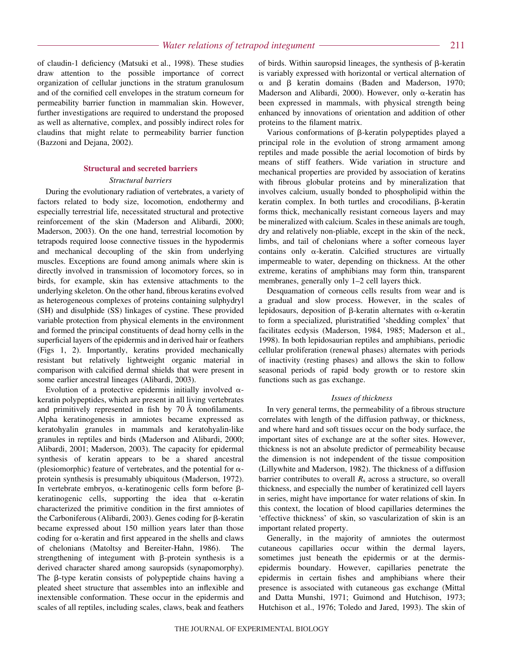of claudin-1 deficiency (Matsuki et al., 1998). These studies draw attention to the possible importance of correct organization of cellular junctions in the stratum granulosum and of the cornified cell envelopes in the stratum corneum for permeability barrier function in mammalian skin. However, further investigations are required to understand the proposed as well as alternative, complex, and possibly indirect roles for claudins that might relate to permeability barrier function (Bazzoni and Dejana, 2002).

# **Structural and secreted barriers**

#### *Structural barriers*

During the evolutionary radiation of vertebrates, a variety of factors related to body size, locomotion, endothermy and especially terrestrial life, necessitated structural and protective reinforcement of the skin (Maderson and Alibardi, 2000; Maderson, 2003). On the one hand, terrestrial locomotion by tetrapods required loose connective tissues in the hypodermis and mechanical decoupling of the skin from underlying muscles. Exceptions are found among animals where skin is directly involved in transmission of locomotory forces, so in birds, for example, skin has extensive attachments to the underlying skeleton. On the other hand, fibrous keratins evolved as heterogeneous complexes of proteins containing sulphydryl (SH) and disulphide (SS) linkages of cystine. These provided variable protection from physical elements in the environment and formed the principal constituents of dead horny cells in the superficial layers of the epidermis and in derived hair or feathers (Figs 1, 2). Importantly, keratins provided mechanically resistant but relatively lightweight organic material in comparison with calcified dermal shields that were present in some earlier ancestral lineages (Alibardi, 2003).

Evolution of a protective epidermis initially involved  $\alpha$ keratin polypeptides, which are present in all living vertebrates and primitively represented in fish by  $70 \text{ Å}$  tonofilaments. Alpha keratinogenesis in amniotes became expressed as keratohyalin granules in mammals and keratohyalin-like granules in reptiles and birds (Maderson and Alibardi, 2000; Alibardi, 2001; Maderson, 2003). The capacity for epidermal synthesis of keratin appears to be a shared ancestral (plesiomorphic) feature of vertebrates, and the potential for  $\alpha$ protein synthesis is presumably ubiquitous (Maderson, 1972). In vertebrate embryos,  $\alpha$ -keratinogenic cells form before  $\beta$ keratinogenic cells, supporting the idea that  $\alpha$ -keratin characterized the primitive condition in the first amniotes of the Carboniferous (Alibardi, 2003). Genes coding for  $\beta$ -keratin became expressed about 150 million years later than those coding for  $\alpha$ -keratin and first appeared in the shells and claws of chelonians (Matoltsy and Bereiter-Hahn, 1986). The strengthening of integument with  $\beta$ -protein synthesis is a derived character shared among sauropsids (synapomorphy). The  $\beta$ -type keratin consists of polypeptide chains having a pleated sheet structure that assembles into an inflexible and inextensible conformation. These occur in the epidermis and scales of all reptiles, including scales, claws, beak and feathers

of birds. Within sauropsid lineages, the synthesis of  $\beta$ -keratin is variably expressed with horizontal or vertical alternation of  $\alpha$  and  $\beta$  keratin domains (Baden and Maderson, 1970; Maderson and Alibardi, 2000). However, only  $\alpha$ -keratin has been expressed in mammals, with physical strength being enhanced by innovations of orientation and addition of other proteins to the filament matrix.

Various conformations of  $\beta$ -keratin polypeptides played a principal role in the evolution of strong armament among reptiles and made possible the aerial locomotion of birds by means of stiff feathers. Wide variation in structure and mechanical properties are provided by association of keratins with fibrous globular proteins and by mineralization that involves calcium, usually bonded to phospholipid within the keratin complex. In both turtles and crocodilians,  $\beta$ -keratin forms thick, mechanically resistant corneous layers and may be mineralized with calcium. Scales in these animals are tough, dry and relatively non-pliable, except in the skin of the neck, limbs, and tail of chelonians where a softer corneous layer contains only  $\alpha$ -keratin. Calcified structures are virtually impermeable to water, depending on thickness. At the other extreme, keratins of amphibians may form thin, transparent membranes, generally only 1–2 cell layers thick.

Desquamation of corneous cells results from wear and is a gradual and slow process. However, in the scales of lepidosaurs, deposition of  $\beta$ -keratin alternates with  $\alpha$ -keratin to form a specialized, pluristratified 'shedding complex' that facilitates ecdysis (Maderson, 1984, 1985; Maderson et al., 1998). In both lepidosaurian reptiles and amphibians, periodic cellular proliferation (renewal phases) alternates with periods of inactivity (resting phases) and allows the skin to follow seasonal periods of rapid body growth or to restore skin functions such as gas exchange.

#### *Issues of thickness*

In very general terms, the permeability of a fibrous structure correlates with length of the diffusion pathway, or thickness, and where hard and soft tissues occur on the body surface, the important sites of exchange are at the softer sites. However, thickness is not an absolute predictor of permeability because the dimension is not independent of the tissue composition (Lillywhite and Maderson, 1982). The thickness of a diffusion barrier contributes to overall  $R<sub>s</sub>$  across a structure, so overall thickness, and especially the number of keratinized cell layers in series, might have importance for water relations of skin. In this context, the location of blood capillaries determines the 'effective thickness' of skin, so vascularization of skin is an important related property.

Generally, in the majority of amniotes the outermost cutaneous capillaries occur within the dermal layers, sometimes just beneath the epidermis or at the dermisepidermis boundary. However, capillaries penetrate the epidermis in certain fishes and amphibians where their presence is associated with cutaneous gas exchange (Mittal and Datta Munshi, 1971; Guimond and Hutchison, 1973; Hutchison et al., 1976; Toledo and Jared, 1993). The skin of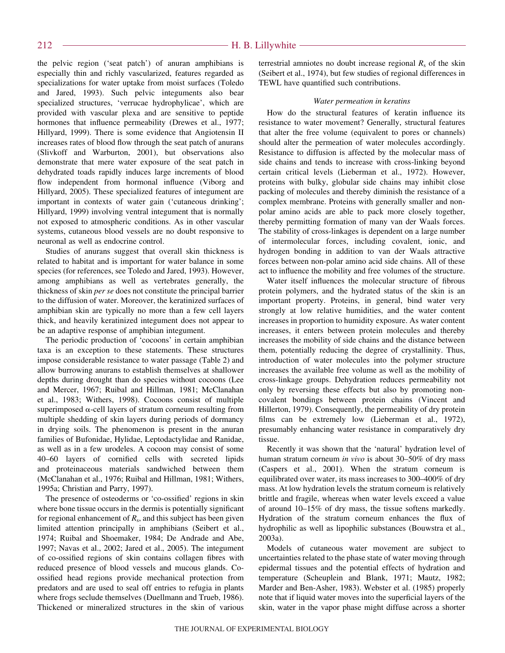the pelvic region ('seat patch') of anuran amphibians is especially thin and richly vascularized, features regarded as specializations for water uptake from moist surfaces (Toledo and Jared, 1993). Such pelvic integuments also bear specialized structures, 'verrucae hydrophylicae', which are provided with vascular plexa and are sensitive to peptide hormones that influence permeability (Drewes et al., 1977; Hillyard, 1999). There is some evidence that Angiotensin II increases rates of blood flow through the seat patch of anurans (Slivkoff and Warburton, 2001), but observations also demonstrate that mere water exposure of the seat patch in dehydrated toads rapidly induces large increments of blood flow independent from hormonal influence (Viborg and Hillyard, 2005). These specialized features of integument are important in contexts of water gain ('cutaneous drinking'; Hillyard, 1999) involving ventral integument that is normally not exposed to atmospheric conditions. As in other vascular systems, cutaneous blood vessels are no doubt responsive to neuronal as well as endocrine control.

Studies of anurans suggest that overall skin thickness is related to habitat and is important for water balance in some species (for references, see Toledo and Jared, 1993). However, among amphibians as well as vertebrates generally, the thickness of skin *per se* does not constitute the principal barrier to the diffusion of water. Moreover, the keratinized surfaces of amphibian skin are typically no more than a few cell layers thick, and heavily keratinized integument does not appear to be an adaptive response of amphibian integument.

The periodic production of 'cocoons' in certain amphibian taxa is an exception to these statements. These structures impose considerable resistance to water passage (Table 2) and allow burrowing anurans to establish themselves at shallower depths during drought than do species without cocoons (Lee and Mercer, 1967; Ruibal and Hillman, 1981; McClanahan et al., 1983; Withers, 1998). Cocoons consist of multiple superimposed  $\alpha$ -cell layers of stratum corneum resulting from multiple shedding of skin layers during periods of dormancy in drying soils. The phenomenon is present in the anuran families of Bufonidae, Hylidae, Leptodactylidae and Ranidae, as well as in a few urodeles. A cocoon may consist of some 40–60 layers of cornified cells with secreted lipids and proteinaceous materials sandwiched between them (McClanahan et al., 1976; Ruibal and Hillman, 1981; Withers, 1995a; Christian and Parry, 1997).

The presence of osteoderms or 'co-ossified' regions in skin where bone tissue occurs in the dermis is potentially significant for regional enhancement of  $R_s$ , and this subject has been given limited attention principally in amphibians (Seibert et al., 1974; Ruibal and Shoemaker, 1984; De Andrade and Abe, 1997; Navas et al., 2002; Jared et al., 2005). The integument of co-ossified regions of skin contains collagen fibres with reduced presence of blood vessels and mucous glands. Coossified head regions provide mechanical protection from predators and are used to seal off entries to refugia in plants where frogs seclude themselves (Duellmann and Trueb, 1986). Thickened or mineralized structures in the skin of various terrestrial amniotes no doubt increase regional  $R<sub>s</sub>$  of the skin (Seibert et al., 1974), but few studies of regional differences in TEWL have quantified such contributions.

#### *Water permeation in keratins*

How do the structural features of keratin influence its resistance to water movement? Generally, structural features that alter the free volume (equivalent to pores or channels) should alter the permeation of water molecules accordingly. Resistance to diffusion is affected by the molecular mass of side chains and tends to increase with cross-linking beyond certain critical levels (Lieberman et al., 1972). However, proteins with bulky, globular side chains may inhibit close packing of molecules and thereby diminish the resistance of a complex membrane. Proteins with generally smaller and nonpolar amino acids are able to pack more closely together, thereby permitting formation of many van der Waals forces. The stability of cross-linkages is dependent on a large number of intermolecular forces, including covalent, ionic, and hydrogen bonding in addition to van der Waals attractive forces between non-polar amino acid side chains. All of these act to influence the mobility and free volumes of the structure.

Water itself influences the molecular structure of fibrous protein polymers, and the hydrated status of the skin is an important property. Proteins, in general, bind water very strongly at low relative humidities, and the water content increases in proportion to humidity exposure. As water content increases, it enters between protein molecules and thereby increases the mobility of side chains and the distance between them, potentially reducing the degree of crystallinity. Thus, introduction of water molecules into the polymer structure increases the available free volume as well as the mobility of cross-linkage groups. Dehydration reduces permeability not only by reversing these effects but also by promoting noncovalent bondings between protein chains (Vincent and Hillerton, 1979). Consequently, the permeability of dry protein films can be extremely low (Lieberman et al., 1972), presumably enhancing water resistance in comparatively dry tissue.

Recently it was shown that the 'natural' hydration level of human stratum corneum *in vivo* is about 30–50% of dry mass (Caspers et al., 2001). When the stratum corneum is equilibrated over water, its mass increases to 300–400% of dry mass. At low hydration levels the stratum corneum is relatively brittle and fragile, whereas when water levels exceed a value of around 10–15% of dry mass, the tissue softens markedly. Hydration of the stratum corneum enhances the flux of hydrophilic as well as lipophilic substances (Bouwstra et al., 2003a).

Models of cutaneous water movement are subject to uncertainties related to the phase state of water moving through epidermal tissues and the potential effects of hydration and temperature (Scheuplein and Blank, 1971; Mautz, 1982; Marder and Ben-Asher, 1983). Webster et al. (1985) properly note that if liquid water moves into the superficial layers of the skin, water in the vapor phase might diffuse across a shorter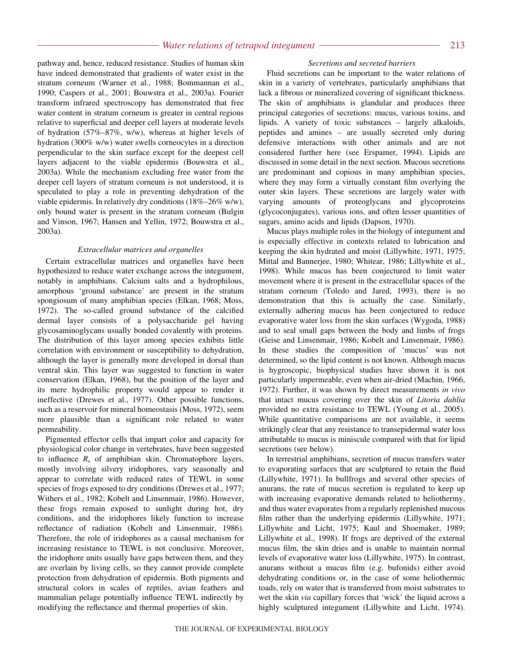pathway and, hence, reduced resistance. Studies of human skin have indeed demonstrated that gradients of water exist in the stratum corneum (Warner et al., 1988; Bommannan et al., 1990; Caspers et al., 2001; Bouwstra et al., 2003a). Fourier transform infrared spectroscopy has demonstrated that free water content in stratum corneum is greater in central regions relative to superficial and deeper cell layers at moderate levels of hydration (57%–87%, w/w), whereas at higher levels of hydration (300% w/w) water swells corneocytes in a direction perpendicular to the skin surface except for the deepest cell layers adjacent to the viable epidermis (Bouwstra et al., 2003a). While the mechanism excluding free water from the deeper cell layers of stratum corneum is not understood, it is speculated to play a role in preventing dehydration of the viable epidermis. In relatively dry conditions (18%–26% w/w), only bound water is present in the stratum corneum (Bulgin and Vinson, 1967; Hansen and Yellin, 1972; Bouwstra et al., 2003a).

#### *Extracellular matrices and organelles*

Certain extracellular matrices and organelles have been hypothesized to reduce water exchange across the integument, notably in amphibians. Calcium salts and a hydrophilous, amorphous 'ground substance' are present in the stratum spongiosum of many amphibian species (Elkan, 1968; Moss, 1972). The so-called ground substance of the calcified dermal layer consists of a polysaccharide gel having glycosaminoglycans usually bonded covalently with proteins. The distribution of this layer among species exhibits little correlation with environment or susceptibility to dehydration, although the layer is generally more developed in dorsal than ventral skin. This layer was suggested to function in water conservation (Elkan, 1968), but the position of the layer and its mere hydrophilic property would appear to render it ineffective (Drewes et al., 1977). Other possible functions, such as a reservoir for mineral homeostasis (Moss, 1972), seem more plausible than a significant role related to water permeability.

Pigmented effector cells that impart color and capacity for physiological color change in vertebrates, have been suggested to influence  $R_s$  of amphibian skin. Chromatophore layers, mostly involving silvery iridophores, vary seasonally and appear to correlate with reduced rates of TEWL in some species of frogs exposed to dry conditions (Drewes et al., 1977; Withers et al., 1982; Kobelt and Linsenmair, 1986). However, these frogs remain exposed to sunlight during hot, dry conditions, and the iridophores likely function to increase reflectance of radiation (Kobelt and Linsenmair, 1986). Therefore, the role of iridophores as a causal mechanism for increasing resistance to TEWL is not conclusive. Moreover, the iridophore units usually have gaps between them, and they are overlain by living cells, so they cannot provide complete protection from dehydration of epidermis. Both pigments and structural colors in scales of reptiles, avian feathers and mammalian pelage potentially influence TEWL indirectly by modifying the reflectance and thermal properties of skin.

#### *Secretions and secreted barriers*

Fluid secretions can be important to the water relations of skin in a variety of vertebrates, particularly amphibians that lack a fibrous or mineralized covering of significant thickness. The skin of amphibians is glandular and produces three principal categories of secretions: mucus, various toxins, and lipids. A variety of toxic substances – largely alkaloids, peptides and amines – are usually secreted only during defensive interactions with other animals and are not considered further here (see Erspamer, 1994). Lipids are discussed in some detail in the next section. Mucous secretions are predominant and copious in many amphibian species, where they may form a virtually constant film overlying the outer skin layers. These secretions are largely water with varying amounts of proteoglycans and glycoproteins (glycoconjugates), various ions, and often lesser quantities of sugars, amino acids and lipids (Dapson, 1970).

Mucus plays multiple roles in the biology of integument and is especially effective in contexts related to lubrication and keeping the skin hydrated and moist (Lillywhite, 1971, 1975; Mittal and Bannerjee, 1980; Whitear, 1986; Lillywhite et al., 1998). While mucus has been conjectured to limit water movement where it is present in the extracellular spaces of the stratum corneum (Toledo and Jared, 1993), there is no demonstration that this is actually the case. Similarly, externally adhering mucus has been conjectured to reduce evaporative water loss from the skin surfaces (Wygoda, 1988) and to seal small gaps between the body and limbs of frogs (Geise and Linsenmair, 1986; Kobelt and Linsenmair, 1986). In these studies the composition of 'mucus' was not determined, so the lipid content is not known. Although mucus is hygroscopic, biophysical studies have shown it is not particularly impermeable, even when air-dried (Machin, 1966, 1972). Further, it was shown by direct measurements *in vivo* that intact mucus covering over the skin of *Litoria dahlia* provided no extra resistance to TEWL (Young et al., 2005). While quantitative comparisons are not available, it seems strikingly clear that any resistance to transepidermal water loss attributable to mucus is miniscule compared with that for lipid secretions (see below).

In terrestrial amphibians, secretion of mucus transfers water to evaporating surfaces that are sculptured to retain the fluid (Lillywhite, 1971). In bullfrogs and several other species of anurans, the rate of mucus secretion is regulated to keep up with increasing evaporative demands related to heliothermy, and thus water evaporates from a regularly replenished mucous film rather than the underlying epidermis (Lillywhite, 1971; Lillywhite and Licht, 1975; Kaul and Shoemaker, 1989; Lillywhite et al., 1998). If frogs are deprived of the external mucus film, the skin dries and is unable to maintain normal levels of evaporative water loss (Lillywhite, 1975). In contrast, anurans without a mucus film (e.g. bufonids) either avoid dehydrating conditions or, in the case of some heliothermic toads, rely on water that is transferred from moist substrates to wet the skin *via* capillary forces that 'wick' the liquid across a highly sculptured integument (Lillywhite and Licht, 1974).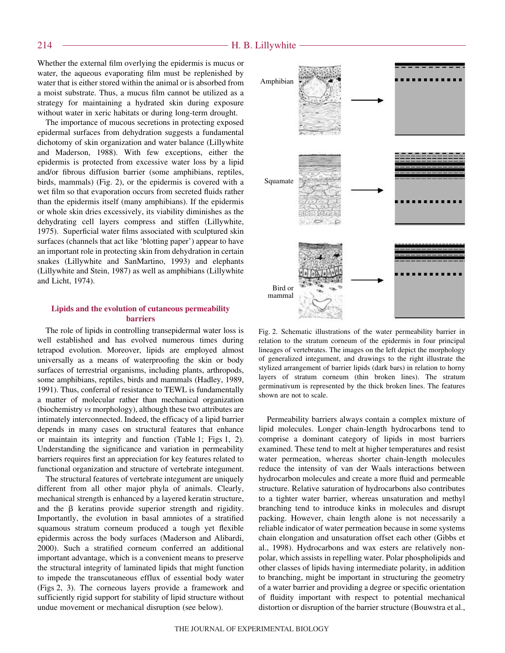Whether the external film overlying the epidermis is mucus or water, the aqueous evaporating film must be replenished by water that is either stored within the animal or is absorbed from a moist substrate. Thus, a mucus film cannot be utilized as a strategy for maintaining a hydrated skin during exposure without water in xeric habitats or during long-term drought.

The importance of mucous secretions in protecting exposed epidermal surfaces from dehydration suggests a fundamental dichotomy of skin organization and water balance (Lillywhite and Maderson, 1988). With few exceptions, either the epidermis is protected from excessive water loss by a lipid and/or fibrous diffusion barrier (some amphibians, reptiles, birds, mammals) (Fig. 2), or the epidermis is covered with a wet film so that evaporation occurs from secreted fluids rather than the epidermis itself (many amphibians). If the epidermis or whole skin dries excessively, its viability diminishes as the dehydrating cell layers compress and stiffen (Lillywhite, 1975). Superficial water films associated with sculptured skin surfaces (channels that act like 'blotting paper') appear to have an important role in protecting skin from dehydration in certain snakes (Lillywhite and SanMartino, 1993) and elephants (Lillywhite and Stein, 1987) as well as amphibians (Lillywhite and Licht, 1974).

# **Lipids and the evolution of cutaneous permeability barriers**

The role of lipids in controlling transepidermal water loss is well established and has evolved numerous times during tetrapod evolution. Moreover, lipids are employed almost universally as a means of waterproofing the skin or body surfaces of terrestrial organisms, including plants, arthropods, some amphibians, reptiles, birds and mammals (Hadley, 1989, 1991). Thus, conferral of resistance to TEWL is fundamentally a matter of molecular rather than mechanical organization (biochemistry *vs* morphology), although these two attributes are intimately interconnected. Indeed, the efficacy of a lipid barrier depends in many cases on structural features that enhance or maintain its integrity and function (Table 1; Figs 1, 2). Understanding the significance and variation in permeability barriers requires first an appreciation for key features related to functional organization and structure of vertebrate integument.

The structural features of vertebrate integument are uniquely different from all other major phyla of animals. Clearly, mechanical strength is enhanced by a layered keratin structure, and the  $\beta$  keratins provide superior strength and rigidity. Importantly, the evolution in basal amniotes of a stratified squamous stratum corneum produced a tough yet flexible epidermis across the body surfaces (Maderson and Alibardi, 2000). Such a stratified corneum conferred an additional important advantage, which is a convenient means to preserve the structural integrity of laminated lipids that might function to impede the transcutaneous efflux of essential body water (Figs 2, 3). The corneous layers provide a framework and sufficiently rigid support for stability of lipid structure without undue movement or mechanical disruption (see below).



Fig. 2. Schematic illustrations of the water permeability barrier in relation to the stratum corneum of the epidermis in four principal lineages of vertebrates. The images on the left depict the morphology of generalized integument, and drawings to the right illustrate the stylized arrangement of barrier lipids (dark bars) in relation to horny layers of stratum corneum (thin broken lines). The stratum germinativum is represented by the thick broken lines. The features shown are not to scale.

Permeability barriers always contain a complex mixture of lipid molecules. Longer chain-length hydrocarbons tend to comprise a dominant category of lipids in most barriers examined. These tend to melt at higher temperatures and resist water permeation, whereas shorter chain-length molecules reduce the intensity of van der Waals interactions between hydrocarbon molecules and create a more fluid and permeable structure. Relative saturation of hydrocarbons also contributes to a tighter water barrier, whereas unsaturation and methyl branching tend to introduce kinks in molecules and disrupt packing. However, chain length alone is not necessarily a reliable indicator of water permeation because in some systems chain elongation and unsaturation offset each other (Gibbs et al., 1998). Hydrocarbons and wax esters are relatively nonpolar, which assists in repelling water. Polar phospholipids and other classes of lipids having intermediate polarity, in addition to branching, might be important in structuring the geometry of a water barrier and providing a degree or specific orientation of fluidity important with respect to potential mechanical distortion or disruption of the barrier structure (Bouwstra et al.,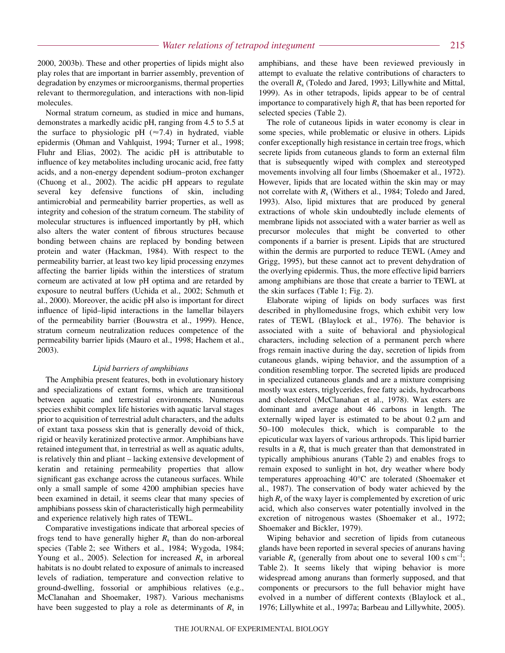2000, 2003b). These and other properties of lipids might also play roles that are important in barrier assembly, prevention of degradation by enzymes or microorganisms, thermal properties relevant to thermoregulation, and interactions with non-lipid molecules.

Normal stratum corneum, as studied in mice and humans, demonstrates a markedly acidic pH, ranging from 4.5 to 5.5 at the surface to physiologic pH  $(\approx 7.4)$  in hydrated, viable epidermis (Ohman and Vahlquist, 1994; Turner et al., 1998; Fluhr and Elias, 2002). The acidic pH is attributable to influence of key metabolites including urocanic acid, free fatty acids, and a non-energy dependent sodium–proton exchanger (Chuong et al., 2002). The acidic pH appears to regulate several key defensive functions of skin, including antimicrobial and permeability barrier properties, as well as integrity and cohesion of the stratum corneum. The stability of molecular structures is influenced importantly by pH, which also alters the water content of fibrous structures because bonding between chains are replaced by bonding between protein and water (Hackman, 1984). With respect to the permeability barrier, at least two key lipid processing enzymes affecting the barrier lipids within the interstices of stratum corneum are activated at low pH optima and are retarded by exposure to neutral buffers (Uchida et al., 2002; Schmuth et al., 2000). Moreover, the acidic pH also is important for direct influence of lipid–lipid interactions in the lamellar bilayers of the permeability barrier (Bouwstra et al., 1999). Hence, stratum corneum neutralization reduces competence of the permeability barrier lipids (Mauro et al., 1998; Hachem et al., 2003).

#### *Lipid barriers of amphibians*

The Amphibia present features, both in evolutionary history and specializations of extant forms, which are transitional between aquatic and terrestrial environments. Numerous species exhibit complex life histories with aquatic larval stages prior to acquisition of terrestrial adult characters, and the adults of extant taxa possess skin that is generally devoid of thick, rigid or heavily keratinized protective armor. Amphibians have retained integument that, in terrestrial as well as aquatic adults, is relatively thin and pliant – lacking extensive development of keratin and retaining permeability properties that allow significant gas exchange across the cutaneous surfaces. While only a small sample of some 4200 amphibian species have been examined in detail, it seems clear that many species of amphibians possess skin of characteristically high permeability and experience relatively high rates of TEWL.

Comparative investigations indicate that arboreal species of frogs tend to have generally higher  $R_s$  than do non-arboreal species (Table 2; see Withers et al., 1984; Wygoda, 1984; Young et al., 2005). Selection for increased  $R_s$  in arboreal habitats is no doubt related to exposure of animals to increased levels of radiation, temperature and convection relative to ground-dwelling, fossorial or amphibious relatives (e.g., McClanahan and Shoemaker, 1987). Various mechanisms have been suggested to play a role as determinants of  $R_s$  in

amphibians, and these have been reviewed previously in attempt to evaluate the relative contributions of characters to the overall *R*<sup>s</sup> (Toledo and Jared, 1993; Lillywhite and Mittal, 1999). As in other tetrapods, lipids appear to be of central importance to comparatively high  $R_s$  that has been reported for selected species (Table 2).

The role of cutaneous lipids in water economy is clear in some species, while problematic or elusive in others. Lipids confer exceptionally high resistance in certain tree frogs, which secrete lipids from cutaneous glands to form an external film that is subsequently wiped with complex and stereotyped movements involving all four limbs (Shoemaker et al., 1972). However, lipids that are located within the skin may or may not correlate with *R*<sup>s</sup> (Withers et al., 1984; Toledo and Jared, 1993). Also, lipid mixtures that are produced by general extractions of whole skin undoubtedly include elements of membrane lipids not associated with a water barrier as well as precursor molecules that might be converted to other components if a barrier is present. Lipids that are structured within the dermis are purported to reduce TEWL (Amey and Grigg, 1995), but these cannot act to prevent dehydration of the overlying epidermis. Thus, the more effective lipid barriers among amphibians are those that create a barrier to TEWL at the skin surfaces (Table 1; Fig. 2).

Elaborate wiping of lipids on body surfaces was first described in phyllomedusine frogs, which exhibit very low rates of TEWL (Blaylock et al., 1976). The behavior is associated with a suite of behavioral and physiological characters, including selection of a permanent perch where frogs remain inactive during the day, secretion of lipids from cutaneous glands, wiping behavior, and the assumption of a condition resembling torpor. The secreted lipids are produced in specialized cutaneous glands and are a mixture comprising mostly wax esters, triglycerides, free fatty acids, hydrocarbons and cholesterol (McClanahan et al., 1978). Wax esters are dominant and average about 46 carbons in length. The externally wiped layer is estimated to be about  $0.2 \mu m$  and 50–100 molecules thick, which is comparable to the epicuticular wax layers of various arthropods. This lipid barrier results in a  $R_s$  that is much greater than that demonstrated in typically amphibious anurans (Table 2) and enables frogs to remain exposed to sunlight in hot, dry weather where body temperatures approaching 40°C are tolerated (Shoemaker et al., 1987). The conservation of body water achieved by the high *R*<sup>s</sup> of the waxy layer is complemented by excretion of uric acid, which also conserves water potentially involved in the excretion of nitrogenous wastes (Shoemaker et al., 1972; Shoemaker and Bickler, 1979).

Wiping behavior and secretion of lipids from cutaneous glands have been reported in several species of anurans having variable  $R_s$  (generally from about one to several 100 s cm<sup>-1</sup>; Table 2). It seems likely that wiping behavior is more widespread among anurans than formerly supposed, and that components or precursors to the full behavior might have evolved in a number of different contexts (Blaylock et al., 1976; Lillywhite et al., 1997a; Barbeau and Lillywhite, 2005).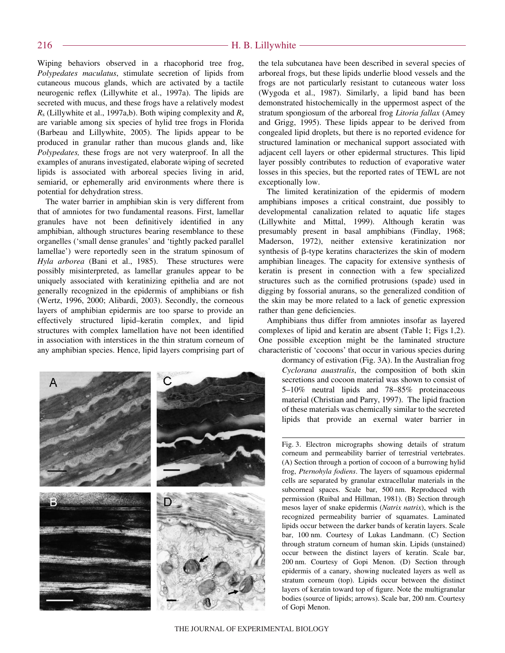# H. B. Lillywhite

Wiping behaviors observed in a rhacophorid tree frog, *Polypedates maculatus*, stimulate secretion of lipids from cutaneous mucous glands, which are activated by a tactile neurogenic reflex (Lillywhite et al., 1997a). The lipids are secreted with mucus, and these frogs have a relatively modest *R*<sup>s</sup> (Lillywhite et al., 1997a,b). Both wiping complexity and *R*<sup>s</sup> are variable among six species of hylid tree frogs in Florida (Barbeau and Lillywhite, 2005). The lipids appear to be produced in granular rather than mucous glands and, like *Polypedates,* these frogs are not very waterproof. In all the examples of anurans investigated, elaborate wiping of secreted lipids is associated with arboreal species living in arid, semiarid, or ephemerally arid environments where there is potential for dehydration stress.

The water barrier in amphibian skin is very different from that of amniotes for two fundamental reasons. First, lamellar granules have not been definitively identified in any amphibian, although structures bearing resemblance to these organelles ('small dense granules' and 'tightly packed parallel lamellae') were reportedly seen in the stratum spinosum of *Hyla arborea* (Bani et al., 1985). These structures were possibly misinterpreted, as lamellar granules appear to be uniquely associated with keratinizing epithelia and are not generally recognized in the epidermis of amphibians or fish (Wertz, 1996, 2000; Alibardi, 2003). Secondly, the corneous layers of amphibian epidermis are too sparse to provide an effectively structured lipid–keratin complex, and lipid structures with complex lamellation have not been identified in association with interstices in the thin stratum corneum of any amphibian species. Hence, lipid layers comprising part of



the tela subcutanea have been described in several species of arboreal frogs, but these lipids underlie blood vessels and the frogs are not particularly resistant to cutaneous water loss (Wygoda et al., 1987). Similarly, a lipid band has been demonstrated histochemically in the uppermost aspect of the stratum spongiosum of the arboreal frog *Litoria fallax* (Amey and Grigg, 1995). These lipids appear to be derived from congealed lipid droplets, but there is no reported evidence for structured lamination or mechanical support associated with adjacent cell layers or other epidermal structures. This lipid layer possibly contributes to reduction of evaporative water losses in this species, but the reported rates of TEWL are not exceptionally low.

The limited keratinization of the epidermis of modern amphibians imposes a critical constraint, due possibly to developmental canalization related to aquatic life stages (Lillywhite and Mittal, 1999). Although keratin was presumably present in basal amphibians (Findlay, 1968; Maderson, 1972), neither extensive keratinization nor synthesis of  $\beta$ -type keratins characterizes the skin of modern amphibian lineages. The capacity for extensive synthesis of keratin is present in connection with a few specialized structures such as the cornified protrusions (spade) used in digging by fossorial anurans, so the generalized condition of the skin may be more related to a lack of genetic expression rather than gene deficiencies.

Amphibians thus differ from amniotes insofar as layered complexes of lipid and keratin are absent (Table 1; Figs 1,2). One possible exception might be the laminated structure characteristic of 'cocoons' that occur in various species during

> dormancy of estivation (Fig. 3A). In the Australian frog *Cyclorana auastralis*, the composition of both skin secretions and cocoon material was shown to consist of 5–10% neutral lipids and 78–85% proteinaceous material (Christian and Parry, 1997). The lipid fraction of these materials was chemically similar to the secreted lipids that provide an exernal water barrier in

> Fig. 3. Electron micrographs showing details of stratum corneum and permeability barrier of terrestrial vertebrates. (A) Section through a portion of cocoon of a burrowing hylid frog, *Pternohyla fodiens*. The layers of squamous epidermal cells are separated by granular extracellular materials in the subcorneal spaces. Scale bar, 500 nm. Reproduced with permission (Ruibal and Hillman, 1981). (B) Section through mesos layer of snake epidermis (*Natrix natrix*), which is the recognized permeability barrier of squamates. Laminated lipids occur between the darker bands of keratin layers. Scale bar, 100 nm. Courtesy of Lukas Landmann. (C) Section through stratum corneum of human skin. Lipids (unstained) occur between the distinct layers of keratin. Scale bar, 200 nm. Courtesy of Gopi Menon. (D) Section through epidermis of a canary, showing nucleated layers as well as stratum corneum (top). Lipids occur between the distinct layers of keratin toward top of figure. Note the multigranular bodies (source of lipids; arrows). Scale bar, 200 nm. Courtesy of Gopi Menon.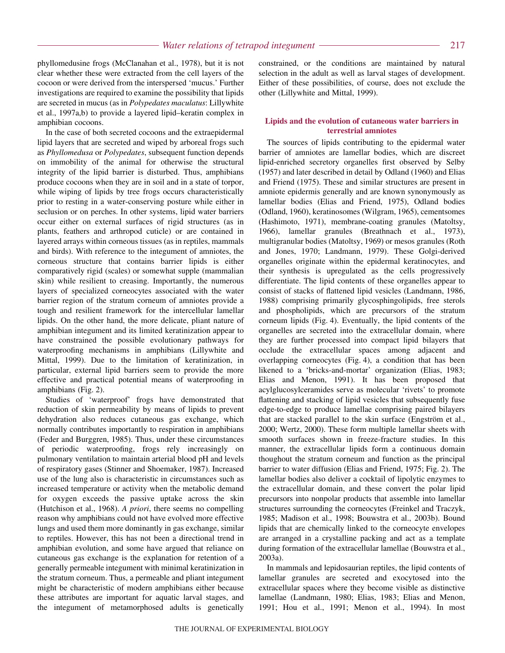phyllomedusine frogs (McClanahan et al., 1978), but it is not clear whether these were extracted from the cell layers of the cocoon or were derived from the interspersed 'mucus.' Further investigations are required to examine the possibility that lipids are secreted in mucus (as in *Polypedates maculatus*: Lillywhite et al., 1997a,b) to provide a layered lipid–keratin complex in amphibian cocoons.

In the case of both secreted cocoons and the extraepidermal lipid layers that are secreted and wiped by arboreal frogs such as *Phyllomedusa* or *Polypedates*, subsequent function depends on immobility of the animal for otherwise the structural integrity of the lipid barrier is disturbed. Thus, amphibians produce cocoons when they are in soil and in a state of torpor, while wiping of lipids by tree frogs occurs characteristically prior to resting in a water-conserving posture while either in seclusion or on perches. In other systems, lipid water barriers occur either on external surfaces of rigid structures (as in plants, feathers and arthropod cuticle) or are contained in layered arrays within corneous tissues (as in reptiles, mammals and birds). With reference to the integument of amniotes, the corneous structure that contains barrier lipids is either comparatively rigid (scales) or somewhat supple (mammalian skin) while resilient to creasing. Importantly, the numerous layers of specialized corneocytes associated with the water barrier region of the stratum corneum of amniotes provide a tough and resilient framework for the intercellular lamellar lipids. On the other hand, the more delicate, pliant nature of amphibian integument and its limited keratinization appear to have constrained the possible evolutionary pathways for waterproofing mechanisms in amphibians (Lillywhite and Mittal, 1999). Due to the limitation of keratinization, in particular, external lipid barriers seem to provide the more effective and practical potential means of waterproofing in amphibians (Fig. 2).

Studies of 'waterproof' frogs have demonstrated that reduction of skin permeability by means of lipids to prevent dehydration also reduces cutaneous gas exchange, which normally contributes importantly to respiration in amphibians (Feder and Burggren, 1985). Thus, under these circumstances of periodic waterproofing, frogs rely increasingly on pulmonary ventilation to maintain arterial blood pH and levels of respiratory gases (Stinner and Shoemaker, 1987). Increased use of the lung also is characteristic in circumstances such as increased temperature or activity when the metabolic demand for oxygen exceeds the passive uptake across the skin (Hutchison et al., 1968). *A priori*, there seems no compelling reason why amphibians could not have evolved more effective lungs and used them more dominantly in gas exchange, similar to reptiles. However, this has not been a directional trend in amphibian evolution, and some have argued that reliance on cutaneous gas exchange is the explanation for retention of a generally permeable integument with minimal keratinization in the stratum corneum. Thus, a permeable and pliant integument might be characteristic of modern amphibians either because these attributes are important for aquatic larval stages, and the integument of metamorphosed adults is genetically

constrained, or the conditions are maintained by natural selection in the adult as well as larval stages of development. Either of these possibilities, of course, does not exclude the other (Lillywhite and Mittal, 1999).

### **Lipids and the evolution of cutaneous water barriers in terrestrial amniotes**

The sources of lipids contributing to the epidermal water barrier of amniotes are lamellar bodies, which are discreet lipid-enriched secretory organelles first observed by Selby (1957) and later described in detail by Odland (1960) and Elias and Friend (1975). These and similar structures are present in amniote epidermis generally and are known synonymously as lamellar bodies (Elias and Friend, 1975), Odland bodies (Odland, 1960), keratinosomes (Wilgram, 1965), cementsomes (Hashimoto, 1971), membrane-coating granules (Matoltsy, 1966), lamellar granules (Breathnach et al., 1973), multigranular bodies (Matoltsy, 1969) or mesos granules (Roth and Jones, 1970; Landmann, 1979). These Golgi-derived organelles originate within the epidermal keratinocytes, and their synthesis is upregulated as the cells progressively differentiate. The lipid contents of these organelles appear to consist of stacks of flattened lipid vesicles (Landmann, 1986, 1988) comprising primarily glycosphingolipids, free sterols and phospholipids, which are precursors of the stratum corneum lipids (Fig. 4). Eventually, the lipid contents of the organelles are secreted into the extracellular domain, where they are further processed into compact lipid bilayers that occlude the extracellular spaces among adjacent and overlapping corneocytes (Fig. 4), a condition that has been likened to a 'bricks-and-mortar' organization (Elias, 1983; Elias and Menon, 1991). It has been proposed that acylglucosylceramides serve as molecular 'rivets' to promote flattening and stacking of lipid vesicles that subsequently fuse edge-to-edge to produce lamellae comprising paired bilayers that are stacked parallel to the skin surface (Engström et al., 2000; Wertz, 2000). These form multiple lamellar sheets with smooth surfaces shown in freeze-fracture studies. In this manner, the extracellular lipids form a continuous domain thoughout the stratum corneum and function as the principal barrier to water diffusion (Elias and Friend, 1975; Fig. 2). The lamellar bodies also deliver a cocktail of lipolytic enzymes to the extracellular domain, and these convert the polar lipid precursors into nonpolar products that assemble into lamellar structures surrounding the corneocytes (Freinkel and Traczyk, 1985; Madison et al., 1998; Bouwstra et al., 2003b). Bound lipids that are chemically linked to the corneocyte envelopes are arranged in a crystalline packing and act as a template during formation of the extracellular lamellae (Bouwstra et al., 2003a).

In mammals and lepidosaurian reptiles, the lipid contents of lamellar granules are secreted and exocytosed into the extracellular spaces where they become visible as distinctive lamellae (Landmann, 1980; Elias, 1983; Elias and Menon, 1991; Hou et al., 1991; Menon et al., 1994). In most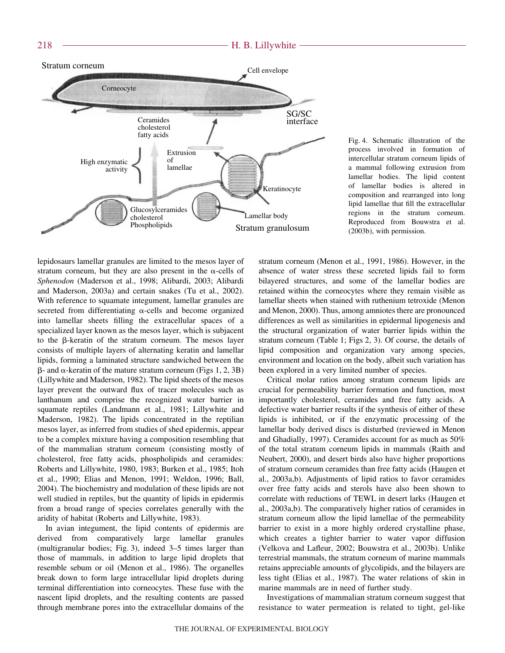#### H. B. Lillywhite



218

Fig. 4. Schematic illustration of the process involved in formation of intercellular stratum corneum lipids of a mammal following extrusion from lamellar bodies. The lipid content of lamellar bodies is altered in composition and rearranged into long lipid lamellae that fill the extracellular regions in the stratum corneum. Reproduced from Bouwstra et al. (2003b), with permission.

lepidosaurs lamellar granules are limited to the mesos layer of stratum corneum, but they are also present in the  $\alpha$ -cells of *Sphenodon* (Maderson et al., 1998; Alibardi, 2003; Alibardi and Maderson, 2003a) and certain snakes (Tu et al., 2002). With reference to squamate integument, lamellar granules are secreted from differentiating  $\alpha$ -cells and become organized into lamellar sheets filling the extracellular spaces of a specialized layer known as the mesos layer, which is subjacent to the  $\beta$ -keratin of the stratum corneum. The mesos layer consists of multiple layers of alternating keratin and lamellar lipids, forming a laminated structure sandwiched between the  $\beta$ - and  $\alpha$ -keratin of the mature stratum corneum (Figs 1, 2, 3B) (Lillywhite and Maderson, 1982). The lipid sheets of the mesos layer prevent the outward flux of tracer molecules such as lanthanum and comprise the recognized water barrier in squamate reptiles (Landmann et al., 1981; Lillywhite and Maderson, 1982). The lipids concentrated in the reptilian mesos layer, as inferred from studies of shed epidermis, appear to be a complex mixture having a composition resembling that of the mammalian stratum corneum (consisting mostly of cholesterol, free fatty acids, phospholipids and ceramides: Roberts and Lillywhite, 1980, 1983; Burken et al., 1985; Itoh et al., 1990; Elias and Menon, 1991; Weldon, 1996; Ball, 2004). The biochemistry and modulation of these lipids are not well studied in reptiles, but the quantity of lipids in epidermis from a broad range of species correlates generally with the aridity of habitat (Roberts and Lillywhite, 1983).

In avian integument, the lipid contents of epidermis are derived from comparatively large lamellar granules (multigranular bodies; Fig. 3), indeed  $3-5$  times larger than those of mammals, in addition to large lipid droplets that resemble sebum or oil (Menon et al., 1986). The organelles break down to form large intracellular lipid droplets during terminal differentiation into corneocytes. These fuse with the nascent lipid droplets, and the resulting contents are passed through membrane pores into the extracellular domains of the stratum corneum (Menon et al., 1991, 1986). However, in the absence of water stress these secreted lipids fail to form bilayered structures, and some of the lamellar bodies are retained within the corneocytes where they remain visible as lamellar sheets when stained with ruthenium tetroxide (Menon and Menon, 2000). Thus, among amniotes there are pronounced differences as well as similarities in epidermal lipogenesis and the structural organization of water barrier lipids within the stratum corneum (Table 1; Figs 2, 3). Of course, the details of lipid composition and organization vary among species, environment and location on the body, albeit such variation has been explored in a very limited number of species.

Critical molar ratios among stratum corneum lipids are crucial for permeability barrier formation and function, most importantly cholesterol, ceramides and free fatty acids. A defective water barrier results if the synthesis of either of these lipids is inhibited, or if the enzymatic processing of the lamellar body derived discs is disturbed (reviewed in Menon and Ghadially, 1997). Ceramides account for as much as 50% of the total stratum corneum lipids in mammals (Raith and Neubert, 2000), and desert birds also have higher proportions of stratum corneum ceramides than free fatty acids (Haugen et al., 2003a,b). Adjustments of lipid ratios to favor ceramides over free fatty acids and sterols have also been shown to correlate with reductions of TEWL in desert larks (Haugen et al., 2003a,b). The comparatively higher ratios of ceramides in stratum corneum allow the lipid lamellae of the permeability barrier to exist in a more highly ordered crystalline phase, which creates a tighter barrier to water vapor diffusion (Velkova and Lafleur, 2002; Bouwstra et al., 2003b). Unlike terrestrial mammals, the stratum corneum of marine mammals retains appreciable amounts of glycolipids, and the bilayers are less tight (Elias et al., 1987). The water relations of skin in marine mammals are in need of further study.

Investigations of mammalian stratum corneum suggest that resistance to water permeation is related to tight, gel-like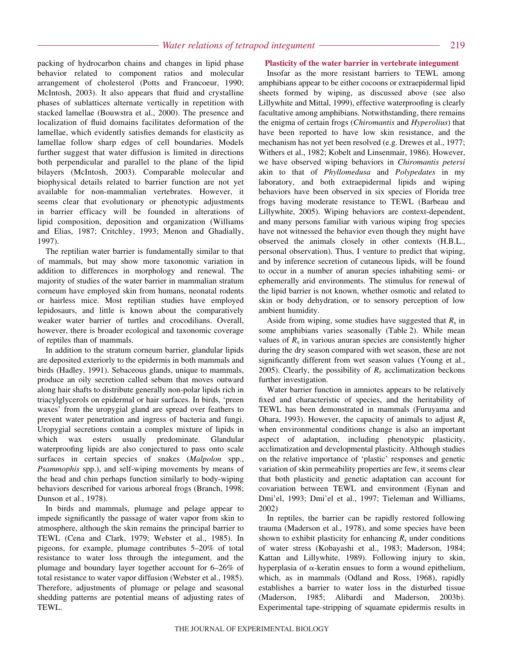packing of hydrocarbon chains and changes in lipid phase behavior related to component ratios and molecular arrangement of cholesterol (Potts and Francoeur, 1990; McIntosh, 2003). It also appears that fluid and crystalline phases of sublattices alternate vertically in repetition with stacked lamellae (Bouwstra et al., 2000). The presence and localization of fluid domains facilitates deformation of the lamellae, which evidently satisfies demands for elasticity as lamellae follow sharp edges of cell boundaries. Models further suggest that water diffusion is limited in directions both perpendicular and parallel to the plane of the lipid bilayers (McIntosh, 2003). Comparable molecular and biophysical details related to barrier function are not yet available for non-mammalian vertebrates. However, it seems clear that evolutionary or phenotypic adjustments in barrier efficacy will be founded in alterations of lipid composition, deposition and organization (Williams and Elias, 1987; Critchley, 1993; Menon and Ghadially, 1997).

The reptilian water barrier is fundamentally similar to that of mammals, but may show more taxonomic variation in addition to differences in morphology and renewal. The majority of studies of the water barrier in mammalian stratum corneum have employed skin from humans, neonatal rodents or hairless mice. Most reptilian studies have employed lepidosaurs, and little is known about the comparatively weaker water barrier of turtles and crocodilians. Overall, however, there is broader ecological and taxonomic coverage of reptiles than of mammals.

In addition to the stratum corneum barrier, glandular lipids are deposited exteriorly to the epidermis in both mammals and birds (Hadley, 1991). Sebaceous glands, unique to mammals, produce an oily secretion called sebum that moves outward along hair shafts to distribute generally non-polar lipids rich in triacylglycerols on epidermal or hair surfaces. In birds, 'preen waxes' from the uropygial gland are spread over feathers to prevent water penetration and ingress of bacteria and fungi. Uropygial secretions contain a complex mixture of lipids in which wax esters usually predominate. Glandular waterproofing lipids are also conjectured to pass onto scale surfaces in certain species of snakes (*Malpolon* spp., *Psammophis* spp.), and self-wiping movements by means of the head and chin perhaps function similarly to body-wiping behaviors described for various arboreal frogs (Branch, 1998; Dunson et al., 1978).

In birds and mammals, plumage and pelage appear to impede significantly the passage of water vapor from skin to atmosphere, although the skin remains the principal barrier to TEWL (Cena and Clark, 1979; Webster et al., 1985). In pigeons, for example, plumage contributes 5–20% of total resistance to water loss through the integument, and the plumage and boundary layer together account for 6–26% of total resistance to water vapor diffusion (Webster et al., 1985). Therefore, adjustments of plumage or pelage and seasonal shedding patterns are potential means of adjusting rates of TEWL.

#### **Plasticity of the water barrier in vertebrate integument**

Insofar as the more resistant barriers to TEWL among amphibians appear to be either cocoons or extraepidermal lipid sheets formed by wiping, as discussed above (see also Lillywhite and Mittal, 1999), effective waterproofing is clearly facultative among amphibians. Notwithstanding, there remains the enigma of certain frogs (*Chiromantis* and *Hyperolius*) that have been reported to have low skin resistance, and the mechanism has not yet been resolved (e.g. Drewes et al., 1977; Withers et al., 1982; Kobelt and Linsenmair, 1986). However, we have observed wiping behaviors in *Chiromantis petersi* akin to that of *Phyllomedusa* and *Polypedates* in my laboratory, and both extraepidermal lipids and wiping behaviors have been observed in six species of Florida tree frogs having moderate resistance to TEWL (Barbeau and Lillywhite, 2005). Wiping behaviors are context-dependent, and many persons familiar with various wiping frog species have not witnessed the behavior even though they might have observed the animals closely in other contexts (H.B.L., personal observation). Thus, I venture to predict that wiping, and by inference secretion of cutaneous lipids, will be found to occur in a number of anuran species inhabiting semi- or ephemerally arid environments. The stimulus for renewal of the lipid barrier is not known, whether osmotic and related to skin or body dehydration, or to sensory perception of low ambient humidity.

Aside from wiping, some studies have suggested that  $R_s$  in some amphibians varies seasonally (Table 2). While mean values of  $R_s$  in various anuran species are consistently higher during the dry season compared with wet season, these are not significantly different from wet season values (Young et al., 2005). Clearly, the possibility of  $R_s$  acclimatization beckons further investigation.

Water barrier function in amniotes appears to be relatively fixed and characteristic of species, and the heritability of TEWL has been demonstrated in mammals (Furuyama and Ohara, 1993). However, the capacity of animals to adjust  $R_s$ when environmental conditions change is also an important aspect of adaptation, including phenotypic plasticity, acclimatization and developmental plasticity. Although studies on the relative importance of 'plastic' responses and genetic variation of skin permeability properties are few, it seems clear that both plasticity and genetic adaptation can account for covariation between TEWL and environment (Eynan and Dmi'el, 1993; Dmi'el et al., 1997; Tieleman and Williams, 2002)

In reptiles, the barrier can be rapidly restored following trauma (Maderson et al., 1978), and some species have been shown to exhibit plasticity for enhancing  $R_s$  under conditions of water stress (Kobayashi et al., 1983; Maderson, 1984; Kattan and Lillywhite, 1989). Following injury to skin, hyperplasia of  $\alpha$ -keratin ensues to form a wound epithelium, which, as in mammals (Odland and Ross, 1968), rapidly establishes a barrier to water loss in the disturbed tissue (Maderson, 1985; Alibardi and Maderson, 2003b). Experimental tape-stripping of squamate epidermis results in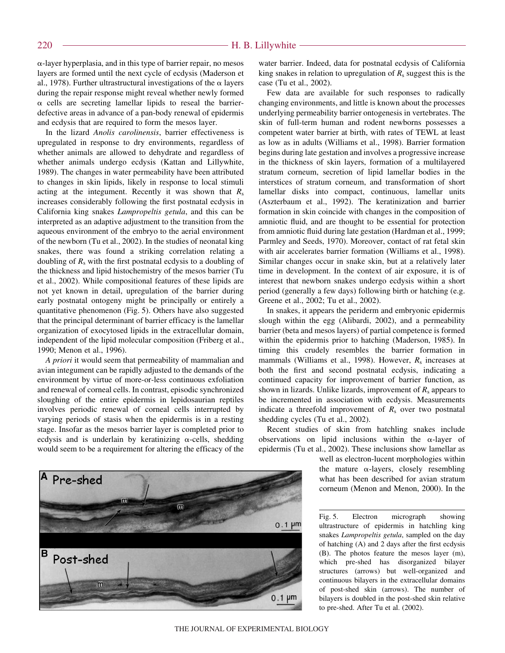--layer hyperplasia, and in this type of barrier repair, no mesos layers are formed until the next cycle of ecdysis (Maderson et al., 1978). Further ultrastructural investigations of the  $\alpha$  layers during the repair response might reveal whether newly formed  $\alpha$  cells are secreting lamellar lipids to reseal the barrierdefective areas in advance of a pan-body renewal of epidermis and ecdysis that are required to form the mesos layer.

In the lizard *Anolis carolinensis*, barrier effectiveness is upregulated in response to dry environments, regardless of whether animals are allowed to dehydrate and regardless of whether animals undergo ecdysis (Kattan and Lillywhite, 1989). The changes in water permeability have been attributed to changes in skin lipids, likely in response to local stimuli acting at the integument. Recently it was shown that *R*<sup>s</sup> increases considerably following the first postnatal ecdysis in California king snakes *Lampropeltis getula*, and this can be interpreted as an adaptive adjustment to the transition from the aqueous environment of the embryo to the aerial environment of the newborn (Tu et al., 2002). In the studies of neonatal king snakes, there was found a striking correlation relating a doubling of *R*<sup>s</sup> with the first postnatal ecdysis to a doubling of the thickness and lipid histochemistry of the mesos barrier (Tu et al., 2002). While compositional features of these lipids are not yet known in detail, upregulation of the barrier during early postnatal ontogeny might be principally or entirely a quantitative phenomenon (Fig. 5). Others have also suggested that the principal determinant of barrier efficacy is the lamellar organization of exocytosed lipids in the extracellular domain, independent of the lipid molecular composition (Friberg et al., 1990; Menon et al., 1996).

*A priori* it would seem that permeability of mammalian and avian integument can be rapidly adjusted to the demands of the environment by virtue of more-or-less continuous exfoliation and renewal of corneal cells. In contrast, episodic synchronized sloughing of the entire epidermis in lepidosaurian reptiles involves periodic renewal of corneal cells interrupted by varying periods of stasis when the epidermis is in a resting stage. Insofar as the mesos barrier layer is completed prior to ecdysis and is underlain by keratinizing  $\alpha$ -cells, shedding would seem to be a requirement for altering the efficacy of the

water barrier. Indeed, data for postnatal ecdysis of California king snakes in relation to upregulation of  $R<sub>s</sub>$  suggest this is the case (Tu et al., 2002).

Few data are available for such responses to radically changing environments, and little is known about the processes underlying permeability barrier ontogenesis in vertebrates. The skin of full-term human and rodent newborns possesses a competent water barrier at birth, with rates of TEWL at least as low as in adults (Williams et al., 1998). Barrier formation begins during late gestation and involves a progressive increase in the thickness of skin layers, formation of a multilayered stratum corneum, secretion of lipid lamellar bodies in the interstices of stratum corneum, and transformation of short lamellar disks into compact, continuous, lamellar units (Aszterbaum et al., 1992). The keratinization and barrier formation in skin coincide with changes in the composition of amniotic fluid, and are thought to be essential for protection from amniotic fluid during late gestation (Hardman et al., 1999; Parmley and Seeds, 1970). Moreover, contact of rat fetal skin with air accelerates barrier formation (Williams et al., 1998). Similar changes occur in snake skin, but at a relatively later time in development. In the context of air exposure, it is of interest that newborn snakes undergo ecdysis within a short period (generally a few days) following birth or hatching (e.g. Greene et al., 2002; Tu et al., 2002).

In snakes, it appears the periderm and embryonic epidermis slough within the egg (Alibardi, 2002), and a permeability barrier (beta and mesos layers) of partial competence is formed within the epidermis prior to hatching (Maderson, 1985). In timing this crudely resembles the barrier formation in mammals (Williams et al., 1998). However,  $R_s$  increases at both the first and second postnatal ecdysis, indicating a continued capacity for improvement of barrier function, as shown in lizards. Unlike lizards, improvement of  $R<sub>s</sub>$  appears to be incremented in association with ecdysis. Measurements indicate a threefold improvement of  $R<sub>s</sub>$  over two postnatal shedding cycles (Tu et al., 2002).

Recent studies of skin from hatchling snakes include observations on lipid inclusions within the  $\alpha$ -layer of epidermis (Tu et al., 2002). These inclusions show lamellar as

> well as electron-lucent morphologies within the mature  $\alpha$ -layers, closely resembling what has been described for avian stratum corneum (Menon and Menon, 2000). In the

> Fig. 5. Electron micrograph showing ultrastructure of epidermis in hatchling king snakes *Lampropeltis getula*, sampled on the day of hatching (A) and 2 days after the first ecdysis (B). The photos feature the mesos layer (m), which pre-shed has disorganized bilayer structures (arrows) but well-organized and continuous bilayers in the extracellular domains of post-shed skin (arrows). The number of bilayers is doubled in the post-shed skin relative to pre-shed. After Tu et al. (2002).



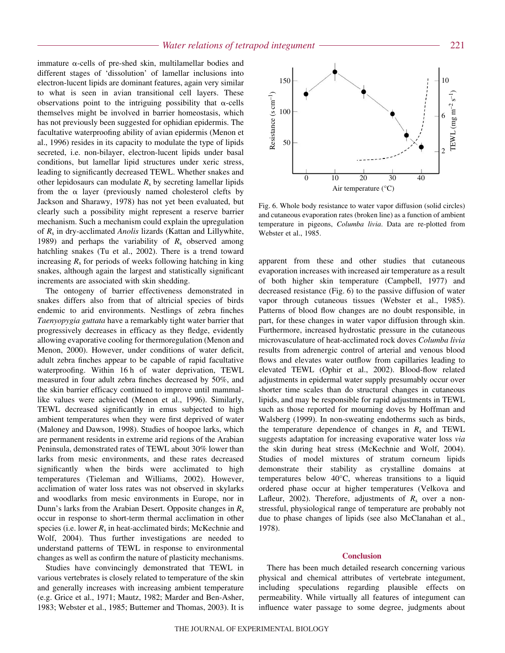immature  $\alpha$ -cells of pre-shed skin, multilamellar bodies and different stages of 'dissolution' of lamellar inclusions into electron-lucent lipids are dominant features, again very similar to what is seen in avian transitional cell layers. These observations point to the intriguing possibility that  $\alpha$ -cells themselves might be involved in barrier homeostasis, which has not previously been suggested for ophidian epidermis. The facultative waterproofing ability of avian epidermis (Menon et al., 1996) resides in its capacity to modulate the type of lipids secreted, i.e. non-bilayer, electron-lucent lipids under basal conditions, but lamellar lipid structures under xeric stress, leading to significantly decreased TEWL. Whether snakes and other lepidosaurs can modulate  $R_s$  by secreting lamellar lipids from the  $\alpha$  layer (previously named cholesterol clefts by Jackson and Sharawy, 1978) has not yet been evaluated, but clearly such a possibility might represent a reserve barrier mechanism. Such a mechanism could explain the upregulation of *R*<sup>s</sup> in dry-acclimated *Anolis* lizards (Kattan and Lillywhite, 1989) and perhaps the variability of  $R_s$  observed among hatchling snakes (Tu et al., 2002). There is a trend toward increasing  $R_s$  for periods of weeks following hatching in king snakes, although again the largest and statistically significant increments are associated with skin shedding.

The ontogeny of barrier effectiveness demonstrated in snakes differs also from that of altricial species of birds endemic to arid environments. Nestlings of zebra finches *Taenyopygia guttata* have a remarkably tight water barrier that progressively decreases in efficacy as they fledge, evidently allowing evaporative cooling for thermoregulation (Menon and Menon, 2000). However, under conditions of water deficit, adult zebra finches appear to be capable of rapid facultative waterproofing. Within 16 h of water deprivation, TEWL measured in four adult zebra finches decreased by 50%, and the skin barrier efficacy continued to improve until mammallike values were achieved (Menon et al., 1996). Similarly, TEWL decreased significantly in emus subjected to high ambient temperatures when they were first deprived of water (Maloney and Dawson, 1998). Studies of hoopoe larks, which are permanent residents in extreme arid regions of the Arabian Peninsula, demonstrated rates of TEWL about 30% lower than larks from mesic environments, and these rates decreased significantly when the birds were acclimated to high temperatures (Tieleman and Williams, 2002). However, acclimation of water loss rates was not observed in skylarks and woodlarks from mesic environments in Europe, nor in Dunn's larks from the Arabian Desert. Opposite changes in  $R_s$ occur in response to short-term thermal acclimation in other species (i.e. lower  $R_s$  in heat-acclimated birds; McKechnie and Wolf, 2004). Thus further investigations are needed to understand patterns of TEWL in response to environmental changes as well as confirm the nature of plasticity mechanisms.

Studies have convincingly demonstrated that TEWL in various vertebrates is closely related to temperature of the skin and generally increases with increasing ambient temperature (e.g. Grice et al., 1971; Mautz, 1982; Marder and Ben-Asher, 1983; Webster et al., 1985; Buttemer and Thomas, 2003). It is



Fig. 6. Whole body resistance to water vapor diffusion (solid circles) and cutaneous evaporation rates (broken line) as a function of ambient temperature in pigeons, *Columba livia*. Data are re-plotted from Webster et al., 1985.

apparent from these and other studies that cutaneous evaporation increases with increased air temperature as a result of both higher skin temperature (Campbell, 1977) and decreased resistance (Fig. 6) to the passive diffusion of water vapor through cutaneous tissues (Webster et al., 1985). Patterns of blood flow changes are no doubt responsible, in part, for these changes in water vapor diffusion through skin. Furthermore, increased hydrostatic pressure in the cutaneous microvasculature of heat-acclimated rock doves *Columba livia* results from adrenergic control of arterial and venous blood flows and elevates water outflow from capillaries leading to elevated TEWL (Ophir et al., 2002). Blood-flow related adjustments in epidermal water supply presumably occur over shorter time scales than do structural changes in cutaneous lipids, and may be responsible for rapid adjustments in TEWL such as those reported for mourning doves by Hoffman and Walsberg (1999). In non-sweating endotherms such as birds, the temperature dependence of changes in *R*<sup>s</sup> and TEWL suggests adaptation for increasing evaporative water loss *via* the skin during heat stress (McKechnie and Wolf, 2004). Studies of model mixtures of stratum corneum lipids demonstrate their stability as crystalline domains at temperatures below 40°C, whereas transitions to a liquid ordered phase occur at higher temperatures (Velkova and Lafleur, 2002). Therefore, adjustments of  $R_s$  over a nonstressful, physiological range of temperature are probably not due to phase changes of lipids (see also McClanahan et al., 1978).

#### **Conclusion**

There has been much detailed research concerning various physical and chemical attributes of vertebrate integument, including speculations regarding plausible effects on permeability. While virtually all features of integument can influence water passage to some degree, judgments about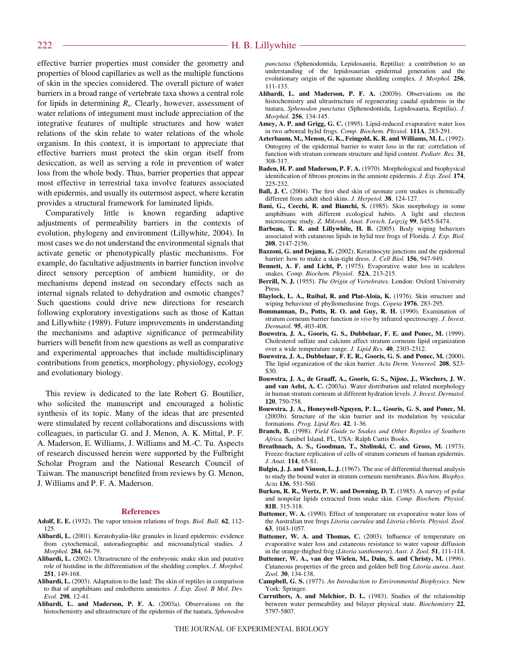effective barrier properties must consider the geometry and properties of blood capillaries as well as the multiple functions of skin in the species considered. The overall picture of water barriers in a broad range of vertebrate taxa shows a central role for lipids in determining *R*s. Clearly, however, assessment of water relations of integument must include appreciation of the integrative features of multiple structures and how water relations of the skin relate to water relations of the whole organism. In this context, it is important to appreciate that effective barriers must protect the skin organ itself from desiccation, as well as serving a role in prevention of water loss from the whole body. Thus, barrier properties that appear most effective in terrestrial taxa involve features associated with epidermis, and usually its outermost aspect, where keratin provides a structural framework for laminated lipids.

Comparatively little is known regarding adaptive adjustments of permeability barriers in the contexts of evolution, phylogeny and environment (Lillywhite, 2004). In most cases we do not understand the environmental signals that activate genetic or phenotypically plastic mechanisms. For example, do facultative adjustments in barrier function involve direct sensory perception of ambient humidity, or do mechanisms depend instead on secondary effects such as internal signals related to dehydration and osmotic changes? Such questions could drive new directions for research following exploratory investigations such as those of Kattan and Lillywhite (1989). Future improvements in understanding the mechanisms and adaptive significance of permeability barriers will benefit from new questions as well as comparative and experimental approaches that include multidisciplinary contributions from genetics, morphology, physiology, ecology and evolutionary biology.

This review is dedicated to the late Robert G. Boutilier, who solicited the manuscript and encouraged a holistic synthesis of its topic. Many of the ideas that are presented were stimulated by recent collaborations and discussions with colleagues, in particular G. and J. Menon, A. K. Mittal, P. F. A. Maderson, E. Williams, J. Williams and M.-C. Tu. Aspects of research discussed herein were supported by the Fulbright Scholar Program and the National Research Council of Taiwan. The manuscript benefited from reviews by G. Menon, J. Williams and P. F. A. Maderson.

#### **References**

- **Adolf, E. E.** (1932). The vapor tension relations of frogs. *Biol. Bull.* **62**, 112- 125.
- **Alibardi, L.** (2001). Keratohyalin-like granules in lizard epidermis: evidence from cytochemical, autoradiographic and microanalytical studies. *J. Morphol.* **284**, 64-79.
- **Alibardi, L.** (2002). Ultrastructure of the embryonic snake skin and putative role of histidine in the differentiation of the shedding complex. *J. Morphol.* **251**, 149-168.
- **Alibardi, L.** (2003). Adaptation to the land: The skin of reptiles in comparison to that of amphibians and endotherm amniotes. *J. Exp. Zool. B Mol. Dev. Evol.* **298**, 12-41.
- **Alibardi, L. and Maderson, P. F. A.** (2003a). Observations on the histochemistry and ultrastructure of the epidermis of the tuatara, *Sphenodon*

*punctatus* (Sphenodontida, Lepidosauria, Reptilia): a contribution to an understanding of the lepidosaurian epidermal generation and the evolutionary origin of the squamate shedding complex. *J. Morphol.* **256**, 111-133.

- **Alibardi, L. and Maderson, P. F. A.** (2003b). Observations on the histochemistry and ultrastructure of regenerating caudal epidermis in the tuatara, *Sphenodon punctatus* (Sphenodontida, Lepidosauria, Reptilia). *J. Morphol.* **256**, 134-145.
- **Amey, A. P. and Grigg, G. C.** (1995). Lipid-reduced evaporative water loss in two arboreal hylid frogs. *Comp. Biochem. Physiol.* **111A**, 283-291.
- **Azterbaum, M., Menon, G. K., Feingold, K. R. and Williams, M. L.** (1992). Ontogeny of the epidermal barrier to water loss in the rat: correlation of function with stratum corneum structure and lipid content. *Pediatr. Res.* **31**, 308-317.
- **Baden, H. P. and Maderson, P. F. A.** (1970). Morphological and biophysical identification of fibrous proteins in the amniote epidermis. *J. Exp. Zool.* **174**, 225-232.
- **Ball, J. C.** (2004). The first shed skin of neonate corn snakes is chemically different from adult shed skins. *J. Herpetol.* **38**, 124-127.
- **Bani, G., Cecchi, R. and Bianchi, S.** (1985). Skin morphology in some amphibians with different ecological habits. A light and electron microscopic study. *Z. Mikrosk. Anat. Forsch. Leipzig* **99**, S455-S474.
- **Barbeau, T. R. and Lillywhite, H. B.** (2005). Body wiping behaviors associated with cutaneous lipids in hylid tree frogs of Florida. *J. Exp. Biol.* **208**, 2147-2156.
- **Bazzoni, G. and Dejana, E.** (2002). Keratinocyte junctions and the epidermal barrier: how to make a skin-tight dress. *J. Cell Biol.* **156**, 947-949.
- **Bennett, A. F. and Licht, P.** (1975). Evaporative water loss in scaleless snakes. *Comp. Biochem. Physiol*. **52A**, 213-215.
- **Berrill, N. J.** (1955). *The Origin of Vertebrates.* London: Oxford University Press.
- **Blaylock, L. A., Ruibal, R. and Plat-Aloia, K.** (1976). Skin structure and wiping behaviour of phyllomedusine frogs. *Copeia* **1976**, 283-295.
- **Bommannan, D., Potts, R. O. and Guy, R. H.** (1990). Examination of stratum corneum barrier function *in vivo* by infrared spectroscopy. *J. Invest. Dermatol.* **95**, 403-408.
- **Bouwstra, J. A., Gooris, G. S., Dubbelaar, F. E. and Ponec, M.** (1999). Cholesterol sulfate and calcium affect stratum corneum lipid organization over a wide temperature range. *J. Lipid Res.* **40**, 2303-2312.
- **Bouwstra, J. A., Dubbelaar, F. E. R., Gooris, G. S. and Ponec, M.** (2000). The lipid organization of the skin barrier. *Acta Derm. Venereol.* **208**, S23- S30.
- **Bouwstra, J. A., de Graaff, A., Gooris, G. S., Nijsse, J., Wiechers, J. W. and van Aelst, A. C.** (2003a). Water distribution and related morphology in human stratum corneum at different hydration levels. *J. Invest. Dermatol.* **120**, 750-758.
- **Bouwstra, J. A., Honeywell-Nguyen, P. L., Gooris, G. S. and Ponec, M.** (2003b). Structure of the skin barrier and its modulation by vesicular formations. *Prog. Lipid Res.* **42**, 1-36.
- **Branch, B.** (1998). *Field Guide to Snakes and Other Reptiles of Southern Africa.* Sanibel Island, FL, USA: Ralph Curtis Books.
- **Breathnach, A. S., Goodman, T., Stolinski, C. and Gross, M.** (1973). Freeze-fracture replication of cells of stratum corneum of human epidermis. *J. Anat.* **114**, 65-81.
- **Bulgin, J. J. and Vinson, L. J.** (1967). The use of differential thermal analysis to study the bound water in stratum corneum membranes. *Biochim. Biophys. Acta* **136**, 551-560.
- **Burken, R. R., Wertz, P. W. and Downing, D. T.** (1985). A survey of polar and nonpolar lipids extracted from snake skin. *Comp. Biochem. Physiol.* **81B**, 315-318.
- **Buttemer, W. A.** (1990). Effect of temperature on evaporative water loss of the Australian tree frogs *Litoria caerulea* and *Litoria chloris. Physiol. Zool.* **63**, 1043-1057.
- **Buttemer, W. A. and Thomas, C.** (2003). Influence of temperature on evaporative water loss and cutaneous resistance to water vapour diffusion in the orange-thighed frog (*Litoria xanthomera*). *Aust. J. Zool.* **51**, 111-118.
- **Buttemer, W. A., van der Wielen, M., Dain, S. and Christy, M.** (1996). Cutaneous properties of the green and golden bell frog *Litoria aurea*. *Aust. Zool.* **30**, 134-138.
- **Campbell, G. S.** (1977). *An Introduction to Environmental Biophysics*. New York: Springer.
- **Carruthers, A. and Melchior, D. L.** (1983). Studies of the relationship between water permeability and bilayer physical state. *Biochemistry* **22**, 5797-5807.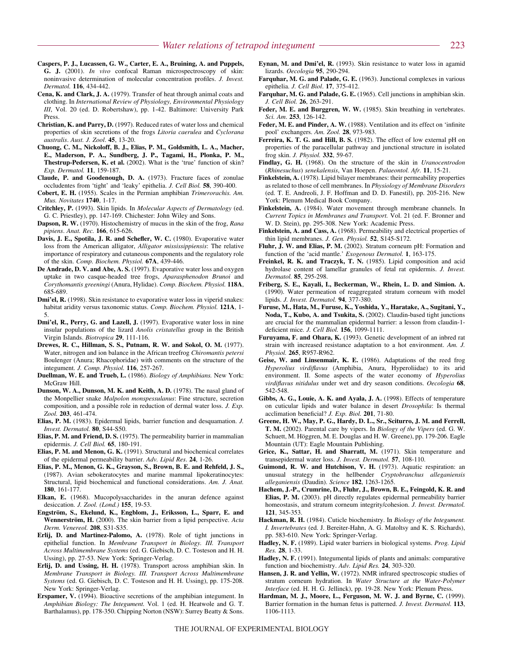- **Caspers, P. J., Lucassen, G. W., Carter, E. A., Bruining, A. and Puppels, G. J.** (2001). *In vivo* confocal Raman microspectroscopy of skin: noninvasive determination of molecular concentration profiles. *J. Invest. Dermatol.* **116**, 434-442.
- **Cena, K. and Clark, J. A.** (1979). Transfer of heat through animal coats and clothing. In *International Review of Physiology, Environmental Physiology III*, Vol. 20 (ed. D. Robertshaw), pp. 1-42. Baltimore: University Park Press.
- **Christian, K. and Parry, D.** (1997). Reduced rates of water loss and chemical properties of skin secretions of the frogs *Litoria caerulea* and *Cyclorana australis*. *Aust. J. Zool*. **45**, 13-20.
- **Chuong, C. M., Nickoloff, B. J., Elias, P. M., Goldsmith, L. A., Macher, E., Maderson, P. A., Sundberg, J. P., Tagami, H., Plonka, P. M., Thestrup-Pedersen, K. et al.** (2002). What is the 'true' function of skin? *Exp. Dermatol.* **11**, 159-187.
- **Claude, P. and Goodenough, D. A.** (1973). Fracture faces of zonulae occludentes from 'tight' and 'leaky' epithelia. *J. Cell Biol.* **58**, 390-400.
- **Cobert, E. H.** (1955). Scales in the Permian amphibian *Trimerorachis. Am. Mus. Novitates* **1740**, 1-17.
- **Critchley, P.** (1993). Skin lipids. In *Molecular Aspects of Dermatology* (ed. G. C. Priestley), pp. 147-169. Chichester: John Wiley and Sons.
- **Dapson, R. W.** (1970). Histochemistry of mucus in the skin of the frog, *Rana pipiens*. *Anat. Rec.* **166**, 615-626.
- **Davis, J. E., Spotila, J. R. and Schefler, W. C.** (1980). Evaporative water loss from the American alligator, *Alligator mississippiensis*: The relative importance of respiratory and cutaneous components and the regulatory role of the skin. *Comp. Biochem. Physiol.* **67A**, 439-446.
- **De Andrade, D. V. and Abe, A. S.** (1997). Evaporative water loss and oxygen uptake in two casque-headed tree frogs, *Aparasphenodon Brunoi* and *Corythomantis greeningi* (Anura, Hylidae). *Comp. Biochem. Physiol.* **118A**, 685-689.
- **Dmi'el, R.** (1998). Skin resistance to evaporative water loss in viperid snakes: habitat aridity versus taxonomic status. *Comp. Biochem. Physiol.* **121A**, 1- 5.
- **Dmi'el, R., Perry, G. and Lazell, J.** (1997). Evaporative water loss in nine insular populations of the lizard *Anolis cristatellus* group in the British Virgin Islands. *Biotropica* **29**, 111-116.
- **Drewes, R. C., Hillman, S. S., Putnam, R. W. and Sokol, O. M.** (1977). Water, nitrogen and ion balance in the African treefrog *Chiromantis petersi* Boulenger (Anura; Rhacophoridae) with comments on the structure of the integument. *J. Comp. Physiol.* **116**, 257-267.
- **Duellman, W. E. and Trueb, L.** (1986). *Biology of Amphibians.* New York: McGraw Hill.
- **Dunson, W. A., Dunson, M. K. and Keith, A. D.** (1978). The nasal gland of the Monpellier snake *Malpolon monspessulanus*: Fine structure, secretion composition, and a possible role in reduction of dermal water loss. *J. Exp. Zool.* **203**, 461-474.
- **Elias, P. M.** (1983). Epidermal lipids, barrier function and desquamation. *J. Invest. Dermatol.* **80**, S44-S50.
- **Elias, P. M. and Friend, D. S.** (1975). The permeability barrier in mammalian epidermis. *J. Cell Biol.* **65**, 180-191.
- **Elias, P. M. and Menon, G. K.** (1991). Structural and biochemical correlates of the epidermal permeability barrier. *Adv. Lipid Res*. **24**, 1-26.
- **Elias, P. M., Menon, G. K., Grayson, S., Brown, B. E. and Rehfeld, J. S.,** (1987). Avian sebokeratocytes and marine mammal lipokeratinocytes: Structural, lipid biochemical and functional considerations. *Am. J. Anat.* **180**, 161-177.
- **Elkan, E.** (1968). Mucopolysaccharides in the anuran defence against desiccation. *J. Zool. (Lond.)* **155**, 19-53.
- **Engström, S., Ekelund, K., Engblom, J., Eriksson, L., Sparr, E. and Wennerström, H.** (2000). The skin barrier from a lipid perspective. *Acta Derm. Venereol.* **208**, S31-S35.
- **Erlij, D. and Martinez-Palomo, A.** (1978). Role of tight junctions in epithelial function. In *Membrane Transport in Biology. III. Transport Across Multimembrane Systems* (ed. G. Giebisch, D. C. Tosteson and H. H. Ussing), pp. 27-53. New York: Springer-Verlag.
- **Erlij, D. and Ussing, H. H.** (1978). Transport across amphibian skin. In *Membrane Transport in Biology. III. Transport Across Multimembrane Systems* (ed. G. Giebisch, D. C. Tosteson and H. H. Ussing), pp. 175-208. New York: Springer-Verlag.
- **Erspamer, V.** (1994). Bioactive secretions of the amphibian integument. In *Amphibian Biology: The Integument.* Vol. 1 (ed. H. Heatwole and G. T. Barthalamus), pp. 178-350. Chipping Norton (NSW): Surrey Beatty & Sons.
- **Eynan, M. and Dmi'el, R.** (1993). Skin resistance to water loss in agamid lizards. *Oecologia* **95**, 290-294.
- **Farquhar, M. G. and Palade, G. E.** (1963). Junctional complexes in various epithelia. *J. Cell Biol*. **17**, 375-412.
- **Farquhar, M. G. and Palade, G. E.** (1965). Cell junctions in amphibian skin. *J. Cell Biol.* **26**, 263-291.
- Feder, M. E. and Burggren, W. W. (1985). Skin breathing in vertebrates. *Sci. Am*. **253**, 126-142.
- Feder, M. E. and Pinder, A. W. (1988). Ventilation and its effect on 'infinite pool' exchangers. *Am. Zool.* **28**, 973-983.
- **Ferreira, K. T. G. and Hill, B. S.** (1982). The effect of low external pH on properties of the paracellular pathway and junctional structure in isolated frog skin. *J. Physiol.* **332**, 59-67.
- **Findlay, G. H.** (1968). On the structure of the skin in *Uranocentrodon* (*Rhinesuchus*) *senekalensis*, Van Hoepen. *Palaeontol. Afr.* **11**, 15-21.
- **Finkelstein, A.** (1978). Lipid bilayer membranes: their permeability properties as related to those of cell membranes. In *Physiology of Membrane Disorders* (ed. T. E. Andreoli, J. F. Hoffman and D. D. Fanestil), pp. 205-216. New York: Plenum Medical Book Company.
- **Finkelstein, A.** (1984). Water movement through membrane channels. In *Current Topics in Membranes and Transport.* Vol. 21 (ed. F. Bronner and W. D. Stein), pp. 295-308. New York: Academic Press.
- **Finkelstein, A. and Cass, A.** (1968). Permeability and electrical properties of thin lipid membranes. *J. Gen. Physiol.* **52**, S145-S172.
- **Fluhr, J. W. and Elias, P. M.** (2002). Stratum corneum pH: Formation and function of the 'acid mantle.' *Exogenous Dermatol.* **1**, 163-175.
- **Freinkel, R. K. and Traczyk, T. N.** (1985). Lipid composition and acid hydrolase content of lamellar granules of fetal rat epidermis. *J. Invest. Dermatol.* **85**, 295-298.
- **Friberg, S. E., Kayali, I., Beckerman, W., Rhein, L. D. and Simion. A.** (1990). Water permeation of reaggregated stratum corneum with model lipids. *J. Invest. Dermatol.* **94**, 377-380.
- **Furuse, M., Hata, M., Furuse, K., Yoshida, Y., Haratake, A., Sugitani, Y., Noda, T., Kubo, A. and Tsukita, S.** (2002). Claudin-based tight junctions are crucial for the mammalian epidermal barrier: a lesson from claudin-1 deficient mice. *J. Cell Biol.* **156**, 1099-1111.
- **Furuyama, F. and Ohara, K.** (1993). Genetic development of an inbred rat strain with increased resistance adaptation to a hot environment. *Am. J. Physiol.* **265**, R957-R962.
- **Geise, W. and Linsenmair, K. E.** (1986). Adaptations of the reed frog *Hyperolius virdiflavus* (Amphibia, Anura, Hyperoliidae) to its arid environment. II. Some aspects of the water economy of *Hyperolius virdiflavus nitidulus* under wet and dry season conditions. *Oecologia* **68**, 542-548.
- **Gibbs, A. G., Louie, A. K. and Ayala, J. A.** (1998). Effects of temperature on cuticular lipids and water balance in desert *Drosophila*: Is thermal acclimation beneficial? *J. Exp. Biol.* **201**, 71-80.
- **Greene, H. W., May, P. G., Hardy, D. L., Sr., Sciturro, J. M. and Ferrell, T. M.** (2002). Parental care by vipers. In *Biology of the Vipers* (ed. G. W. Schuett, M. Höggren, M. E. Douglas and H. W. Greene), pp. 179-206. Eagle Mountain (UT): Eagle Mountain Publishing.
- **Grice, K., Sattar, H. and Sharratt, M.** (1971). Skin temperature and transepidermal water loss. *J. Invest. Dermatol.* **57**, 108-110.
- **Guimond, R. W. and Hutchison, V. H.** (1973). Aquatic respiration: an unusual strategy in the hellbender *Cryptobranchus alleganiensis alleganiensis* (Daudin). *Science* **182**, 1263-1265.
- **Hachem, J.-P., Crumrine, D., Fluhr, J., Brown, B. E., Feingold, K. R. and Elias, P. M.** (2003). pH directly regulates epidermal permeability barrier homeostasis, and stratum corneum integrity/cohesion. *J. Invest. Dermatol.* **121**, 345-353.
- **Hackman, R. H.** (1984). Cuticle biochemistry. In *Biology of the Integument. I. Invertebrates* (ed. J. Bereiter-Hahn, A. G. Matoltsy and K. S. Richards), pp. 583-610. New York: Springer-Verlag.
- **Hadley, N. F.** (1989). Lipid water barriers in biological systems. *Prog. Lipid Res.* **28**, 1-33.
- **Hadley, N. F.** (1991). Integumental lipids of plants and animals: comparative function and biochemistry. *Adv. Lipid Res.* **24**, 303-320.
- **Hansen, J. R. and Yellin, W.** (1972). NMR infrared spectroscopic studies of stratum corneum hydration. In *Water Structure at the Water-Polymer Interface* (ed. H. H. G. Jellinck), pp. 19-28. New York: Plenum Press.
- **Hardman, M. J., Moore, L., Ferguson, M. W. J. and Byrne, C.** (1999). Barrier formation in the human fetus is patterned. *J. Invest. Dermatol.* **113**, 1106-1113.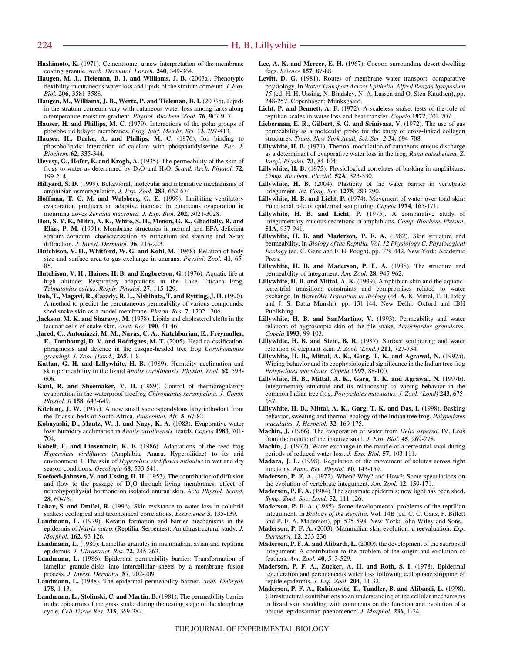- **Hashimoto, K.** (1971). Cementsome, a new interpretation of the membrane coating granule. *Arch. Dermatol. Forsch.* **240**, 349-364.
- **Haugen, M. J., Tieleman, B. I. and Williams, J. B.** (2003a). Phenotypic flexibility in cutaneous water loss and lipids of the stratum corneum. *J. Exp. Biol.* **206**, 3581-3588.
- **Haugen, M., Williams, J. B., Wertz, P. and Tieleman, B. I.** (2003b). Lipids in the stratum corneum vary with cutaneous water loss among larks along a temperature-moisture gradient. *Physiol. Biochem. Zool.* **76**, 907-917.
- **Hauser, H. and Phillips, M. C.** (1979). Interactions of the polar groups of phospholiid bilayer membranes. *Prog. Surf. Membr. Sci.* **13**, 297-413.
- **Hauser, H., Darke, A. and Phillips, M. C.** (1976). Ion binding to phospholipids: interaction of calcium with phosphatidylserine. *Eur. J. Biochem*. **62**, 335-344.
- **Hevesy, G., Hofer, E. and Krogh, A.** (1935). The permeability of the skin of frogs to water as determined by D2O and H2O. *Scand. Arch. Physiol*. **72**, 199-214.
- **Hillyard, S. D.** (1999). Behavioral, molecular and integrative mechanisms of amphibian osmoregulation. *J. Exp. Zool.* **283**, 662-674.
- **Hoffman, T. C. M. and Walsberg, G. E.** (1999). Inhibiting ventilatory evaporation produces an adaptive increase in cutaneous evaporation in mourning doves *Zenaida macroura. J. Exp. Biol.* **202**, 3021-3028.
- **Hou, S. Y. E., Mitra, A. K., White, S. H., Menon, G. K., Ghadially, R. and Elias, P. M.** (1991). Membrane structures in normal and EFA deficient stratum corneum: characterization by ruthenium red staining and X-ray diffraction. *J. Invest. Dermatol.* **96**, 215-223.
- **Hutchison, V. H., Whitford, W. G. and Kohl, M.** (1968). Relation of body size and surface area to gas exchange in anurans. *Physiol. Zool.* **41**, 65- 85.
- **Hutchison, V. H., Haines, H. B. and Engbretson, G.** (1976). Aquatic life at high altitude: Respiratory adaptations in the Lake Titicaca Frog, *Telmatobius culeus*. *Respir. Physiol.* **27**, 115-129.
- **Itoh, T., Magavi, R., Casady, R. L., Nishihata, T. and Rytting, J. H.** (1990). A method to predict the percutaneous permeability of various compounds: shed snake skin as a model membrane. *Pharm. Res.* **7**, 1302-1306.
- **Jackson, M. K. and Sharawy, M.** (1978). Lipids and cholesterol clefts in the lacunar cells of snake skin. *Anat. Rec.* **190**, 41-46.
- **Jared, C., Antoniazzi, M. M., Navas, C. A., Katchburian, E., Freymuller, E., Tambourgi, D. V. and Rodrigues, M. T.** (2005). Head co-ossification, phragmosis and defence in the casque-headed tree frog *Corythomantis greeningi. J. Zool. (Lond.)* **265**, 1-8.
- **Kattan, G. H. and Lillywhite, H. B.** (1989). Humidity acclimation and skin permeability in the lizard *Anolis carolinensis. Physiol. Zool.* **62**, 593- 606.
- **Kaul, R. and Shoemaker, V. H.** (1989). Control of thermoregulatory evaporation in the waterproof treefrog *Chiromantis xerampelina. J. Comp. Physiol. B* **158**, 643-649.
- **Kitching, J. W.** (1957). A new small stereospondylous labyrinthodont from the Triassic beds of South Africa. *Palaeontol. Afr.* **5**, 67-82.
- **Kobayashi, D., Mautz, W. J. and Nagy, K. A.** (1983). Evaporative water loss: humidity acclimation in *Anolis carolinensis* lizards. *Copeia* **1983**, 701- 704.
- **Kobelt, F. and Linsenmair, K. E.** (1986). Adaptations of the reed frog *Hyperolius virdiflavus* (Amphibia, Anura, Hyperoliidae) to its arid environment. I. The skin of *Hyperolius virdiflavus nitidulus* in wet and dry season conditions. *Oecologia* **68**, 533-541.
- **Koefoed-Johnsen, V. and Ussing, H. H.** (1953). The contribution of diffusion and flow to the passage of  $D_2O$  through living membranes: effect of neurohypophysial hormone on isolated anuran skin. *Acta Physiol. Scand.* **28**, 60-76.
- **Lahav, S. and Dmi'el, R.** (1996). Skin resistance to water loss in colubrid snakes: ecological and taxonomical correlations. *Écoscience* **3**, 135-139.
- **Landmann, L.** (1979). Keratin formation and barrier mechanisms in the epidermis of *Natrix natrix* (Reptilia: Serpentes): An ultrastructural study. *J. Morphol.* **162**, 93-126.
- **Landmann, L.** (1980). Lamellar granules in mammalian, avian and reptilian epidermis. *J. Ultrastruct. Res.* **72**, 245-263.
- **Landmann, L.** (1986). Epidermal permeability barrier: Transformation of lamellar granule-disks into intercellular sheets by a membrane fusion process. *J. Invest. Dermatol.* **87**, 202-209.
- **Landmann, L.** (1988). The epidermal permeability barrier. *Anat. Embryol.* **178**, 1-13.
- **Landmann, L., Stolinski, C. and Martin, B.** (1981). The permeability barrier in the epidermis of the grass snake during the resting stage of the sloughing cycle. *Cell Tissue Res.* **215**, 369-382.
- **Lee, A. K. and Mercer, E. H.** (1967). Cocoon surrounding desert-dwelling fogs. *Science* **157**, 87-88.
- **Levitt, D. G.** (1981). Routes of membrane water transport: comparative physiology. In *Water Transport Across Epithelia. Alfred Benzon Symposium 15* (ed. H. H. Ussing, N. Bindslev, N. A. Lassen and O. Sten-Knudsen), pp. 248-257. Copenhagen: Munksgaard.
- **Licht, P. and Bennett, A. F.** (1972). A scaleless snake: tests of the role of reptilian scales in water loss and heat transfer. *Copeia* **1972**, 702-707.
- **Lieberman, E. R., Gilbert, S. G. and Srinivasa, V.** (1972). The use of gas permeability as a molecular probe for the study of cross-linked collagen structures. *Trans. New York Acad. Sci. Ser. 2* **34**, 694-708.
- **Lillywhite, H. B.** (1971). Thermal modulation of cutaneous mucus discharge as a determinant of evaporative water loss in the frog, *Rana catesbeiana. Z. Vergl. Physiol.* **73**, 84-104.
- **Lillywhite, H. B.** (1975). Physiological correlates of basking in amphibians. *Comp. Biochem. Physiol.* **52A**, 323-330.
- **Lillywhite, H. B.** (2004). Plasticity of the water barrier in vertebrate integument. *Int. Cong. Ser.* **1275**, 283-290.
- **Lillywhite, H. B. and Licht, P.** (1974). Movement of water over toad skin: Functional role of epidermal sculpturing. *Copeia* **1974**, 165-171.
- **Lillywhite, H. B. and Licht, P.** (1975). A comparative study of integumentary mucous secretions in amphibians. *Comp. Biochem. Physiol.* **51A**, 937-941.
- **Lillywhite, H. B. and Maderson, P. F. A.** (1982). Skin structure and permeability. In *Biology of the Reptilia, Vol. 12 Physiology C, Physiological Ecology* (ed. C. Gans and F. H. Pough), pp. 379-442. New York: Academic Press.
- **Lillywhite, H. B. and Maderson, P. F. A.** (1988). The structure and permeability of integument. *Am. Zool.* **28**, 945-962.
- **Lillywhite, H. B. and Mittal, A. K.** (1999). Amphibian skin and the aquaticterrestrial transition: constraints and compromises related to water exchange. In *Water/Air Transition in Biology* (ed. A. K. Mittal, F. B. Eddy and J. S. Datta Munshi), pp. 131-144. New Delhi: Oxford and IBH Publishing.
- **Lillywhite, H. B. and SanMartino, V.** (1993). Permeability and water relations of hygroscopic skin of the file snake, *Acrochordus granulatus. Copeia* **1993**, 99-103.
- **Lillywhite, H. B. and Stein, B. R.** (1987). Surface sculpturing and water retention of elephant skin. *J. Zool. (Lond.)* **211**, 727-734.
- **Lillywhite, H. B., Mittal, A. K., Garg, T. K. and Agrawal, N.** (1997a). Wiping behavior and its ecophysiological significance in the Indian tree frog *Polypedates maculatus. Copeia* **1997**, 88-100.
- **Lillywhite, H. B., Mittal, A. K., Garg, T. K. and Agrawal, N.** (1997b). Integumentary structure and its relationship to wiping behavior in the common Indian tree frog, *Polypedates maculatus. J. Zool. (Lond)* **243**, 675- 687.
- **Lillywhite, H. B., Mittal, A. K., Garg, T. K. and Das, I.** (1998). Basking behavior, sweating and thermal ecology of the Indian tree frog, *Polypedates maculatus*. *J. Herpetol.* **32**, 169-175.
- **Machin, J.** (1966). The evaporation of water from *Helix aspersa*. IV. Loss from the mantle of the inactive snail. *J. Exp. Biol.* **45**, 269-278.
- **Machin, J.** (1972). Water exchange in the mantle of a terrestrial snail during periods of reduced water loss. *J. Exp. Biol.* **57**, 103-111.
- **Madara, J. L.** (1998). Regulation of the movement of solutes across tight junctions. *Annu. Rev. Physiol.* **60**, 143-159.
- **Maderson, P. F. A.** (1972). When? Why? and How?: Some speculations on the evolution of vertebrate integument. *Am. Zool.* **12**, 159-171.
- **Maderson, P. F. A.** (1984). The squamate epidermis: new light has been shed. *Symp. Zool. Soc. Lond.* **52**, 111-126.
- **Maderson, P. F. A.** (1985). Some developmental problems of the reptilian integument. In *Biology of the Reptilia*. Vol. 14B (ed. C. C. Gans, F. Billett and P. F. A. Maderson), pp. 525-598. New York: John Wiley and Sons.
- **Maderson, P. F. A.** (2003). Mammalian skin evolution: a reevaluation. *Exp. Dermatol.* **12**, 233-236.
- **Maderson, P. F. A. and Alibardi, L.** (2000). the development of the sauropsid integument: A contribution to the problem of the origin and evolution of feathers. *Am. Zool.* **40**, 513-529.
- **Maderson, P. F. A., Zucker, A. H. and Roth, S. I.** (1978). Epidermal regeneration and percutaneous water loss following cellophane stripping of reptile epidermis. *J. Exp. Zool.* **204**, 11-32.
- **Maderson, P. F. A., Rabinowitz, T., Tandler, B. and Alibardi, L.** (1998). Ultrastructural contributions to an understanding of the cellular mechanisms in lizard skin shedding with comments on the function and evolution of a unique lepidosaurian phenomenon. *J. Morphol.* **236**, 1-24.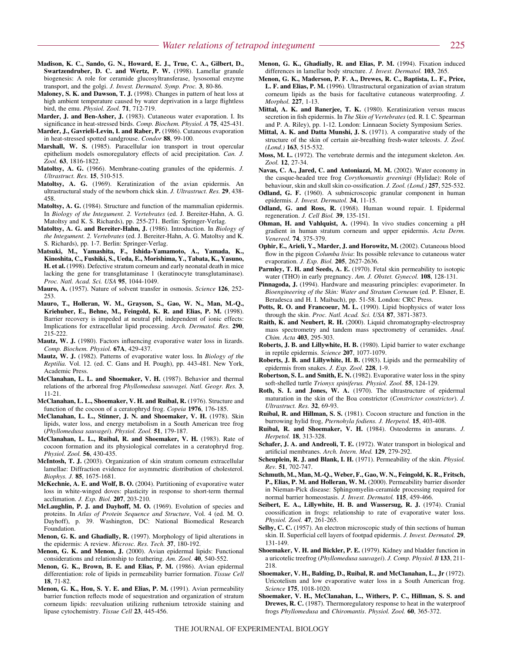- **Madison, K. C., Sando, G. N., Howard, E. J., True, C. A., Gilbert, D., Swartzendruber, D. C. and Wertz, P. W.** (1998). Lamellar granule biogenesis: A role for ceramide glucosyltransferase, lysosomal enzyme transport, and the golgi. *J. Invest. Dermatol. Symp. Proc.* **3**, 80-86.
- **Maloney, S. K. and Dawson, T. J.** (1998). Changes in pattern of heat loss at high ambient temperature caused by water deprivation in a large flightless bird, the emu. *Physiol. Zool.* **71**, 712-719.
- **Marder, J. and Ben-Asher, J.** (1983). Cutaneous water evaporation. I. Its significance in heat-stressed birds. *Comp. Biochem. Physiol. A* **75**, 425-431.
- **Marder, J., Gavrieli-Levin, I. and Raber, P.** (1986). Cutaneous evaporation in heat-stressed spotted sandgrouse. *Condor* **88**, 99-100.
- **Marshall, W. S.** (1985). Paracellular ion transport in trout opercular epithelium models osmoregulatory effects of acid precipitation. *Can. J. Zool.* **63**, 1816-1822.
- **Matoltsy, A. G.** (1966). Membrane-coating granules of the epidermis. *J. Ultrastruct. Res.* **15**, 510-515.
- **Matoltsy, A. G.** (1969). Keratinization of the avian epidermis. An ultrastructural study of the newborn chick skin. *J. Ultrastruct. Res.* **29**, 438- 458.
- **Matoltsy, A. G.** (1984). Structure and function of the mammalian epidermis. In *Biology of the Integument. 2. Vertebrates* (ed. J. Bereiter-Hahn, A. G. Matoltsy and K. S. Richards), pp. 255-271. Berlin: Springer-Verlag.
- **Matoltsy, A. G. and Bereiter-Hahn, J.** (1986). Introduction. In *Biology of the Integument. 2. Vertebrates* (ed. J. Bereiter-Hahn, A. G. Matoltsy and K. S. Richards), pp. 1-7. Berlin: Springer-Verlag.
- **Matsuki, M., Yamashita, F., Ishida-Yamamoto, A., Yamada, K., Kinoshita, C., Fushiki, S., Ueda, E., Morishima, Y., Tabata, K., Yasuno, H. et al.** (1998). Defective stratum corneum and early neonatal death in mice lacking the gene for transglutaminase 1 (keratinocyte transglutaminase). *Proc. Natl. Acad. Sci. USA* **95**, 1044-1049.
- **Mauro, A.** (1957). Nature of solvent transfer in osmosis. *Science* **126**, 252- 253.
- **Mauro, T., Holleran, W. M., Grayson, S., Gao, W. N., Man, M.-Q., Kriehuber, E., Behne, M., Feingold, K. R. and Elias, P. M.** (1998). Barrier recovery is impeded at neutral pH, independent of ionic effects: Implications for extracellular lipid processing. *Arch. Dermatol. Res*. **290**, 215-222.
- **Mautz, W. J.** (1980). Factors influencing evaporative water loss in lizards. *Comp. Biochem. Physiol.* **67A**, 429-437.
- **Mautz, W. J.** (1982). Patterns of evaporative water loss. In *Biology of the Reptilia.* Vol. 12. (ed. C. Gans and H. Pough), pp. 443-481. New York, Academic Press.
- **McClanahan, L. L. and Shoemaker, V. H.** (1987). Behavior and thermal relations of the arboreal frog *Phyllomedusa sauvagei. Natl. Geogr. Res.* **3**, 11-21.
- **McClanahan, L. L., Shoemaker, V. H. and Ruibal, R.** (1976). Structure and function of the cocoon of a ceratophryd frog. *Copeia* **1976**, 176-185.
- **McClanahan, L. L., Stinner, J. N. and Shoemaker, V. H.** (1978). Skin lipids, water loss, and energy metabolism in a South American tree frog (*Phyllomedusa sauvagei*). *Physiol. Zool.* **51**, 179-187.
- **McClanahan, L. L., Ruibal, R. and Shoemaker, V. H.** (1983). Rate of cocoon formation and its physiological correlates in a ceratophryd frog. *Physiol. Zool.* **56**, 430-435.
- **McIntosh, T. J.** (2003). Organization of skin stratum corneum extracellular lamellae: Diffraction evidence for asymmetric distribution of cholesterol. *Biophys. J.* **85**, 1675-1681.
- **McKechnie, A. E. and Wolf, B. O.** (2004). Partitioning of evaporative water loss in white-winged doves: plasticity in response to short-term thermal acclimation. *J. Exp. Biol.* **207**, 203-210.
- **McLaughlin, P. J. and Dayhoff, M. O.** (1969). Evolution of species and proteins. In *Atlas of Protein Sequence and Structure*, Vol. 4 (ed. M. O. Dayhoff), p. 39. Washington, DC: National Biomedical Research Foundation.
- **Menon, G. K. and Ghadially, R.** (1997). Morphology of lipid alterations in the epidermis: A review. *Microsc. Res. Tech.* **37**, 180-192.
- **Menon, G. K. and Menon, J.** (2000). Avian epidermal lipids: Functional considerations and relationship to feathering. *Am. Zool.* **40**, 540-552.
- **Menon, G. K., Brown, B. E. and Elias, P. M.** (1986). Avian epidermal differentiation: role of lipids in permeability barrier formation. *Tissue Cell* **18**, 71-82.
- **Menon, G. K., Hou, S. Y. E. and Elias, P. M.** (1991). Avian permeability barrier function reflects mode of sequestration and organization of stratum corneum lipids: reevaluation utilizing ruthenium tetroxide staining and lipase cytochemistry. *Tissue Cell* **23**, 445-456.
- **Menon, G. K., Ghadially, R. and Elias, P. M.** (1994). Fixation induced differences in lamellar body structure. *J. Invest. Dermatol.* **103**, 265.
- **Menon, G. K., Maderson, P. F. A., Drewes, R. C., Baptista, L. F., Price, L. F. and Elias, P. M.** (1996). Ultrastructural organization of avian stratum corneum lipids as the basis for facultative cutaneous waterproofing. *J. Morphol.* **227**, 1-13.
- **Mittal, A. K. and Banerjee, T. K.** (1980). Keratinization versus mucus secretion in fish epidermis. In *The Skin of Vertebrates* (ed. R. I. C. Spearman and P. A. Riley), pp. 1-12. London: Linnaean Society Symposium Series.
- **Mittal, A. K. and Datta Munshi, J. S.** (1971). A comparative study of the structure of the skin of certain air-breathing fresh-water teleosts. *J. Zool. (Lond.)* **163**, 515-532.
- **Moss, M. L.** (1972). The vertebrate dermis and the integument skeleton. *Am. Zool.* **12**, 27-34.
- **Navas, C. A., Jared, C. and Antoniazzi, M. M.** (2002). Water economy in the casque-headed tree frog *Corythomantis greeningi* (Hylidae): Role of behaviour, skin and skull skin co-ossification. *J. Zool. (Lond.)* **257**, 525-532.
- **Odland, G. F.** (1960). A submicroscopic granular component in human epidermis. *J. Invest. Dermatol.* **34**, 11-15.
- **Odland, G. and Ross, R.** (1968). Human wound repair. I. Epidermal regeneration. *J. Cell Biol.* **39**, 135-151.
- **Ohman, H. and Vahlquist, A.** (1994). In vivo studies concerning a pH gradient in human stratum corneum and upper epidermis. *Acta Derm. Venereol.* **74**, 375-379.
- **Ophir, E., Arieli, Y., Marder, J. and Horowitz, M.** (2002). Cutaneous blood flow in the pigeon *Columba livia*: Its possible relevance to cutaneous water evaporation. *J. Exp. Biol.* **205**, 2627-2636.
- **Parmley, T. H. and Seeds, A. E.** (1970). Fetal skin permeability to isotopic water (THO) in early pregnancy. *Am. J. Obstet. Gynecol.* **108**, 128-131.
- Pinnagoda, J. (1994). Hardware and measuring principles: evaporimeter. In *Bioengineering of the Skin: Water and Stratum Corneum* (ed. P. Elsner, E. Beradesca and H. I. Maibach), pp. 51-58. London: CRC Press.
- Potts, R. O. and Francoeur, M. L. (1990). Lipid biophysics of water loss through the skin. *Proc. Natl. Acad. Sci. USA* **87**, 3871-3873.
- **Raith, K. and Neubert, R. H.** (2000). Liquid chromatography-electrospray mass spectrometry and tandem mass spectrometry of ceramides. *Anal. Chim. Acta* **403**, 295-303.
- **Roberts, J. B. and Lillywhite, H. B.** (1980). Lipid barrier to water exchange in reptile epidermis. *Science* **207**, 1077-1079.
- **Roberts, J. B. and Lillywhite, H. B.** (1983). Lipids and the permeability of epidermis from snakes. *J. Exp. Zool.* **228**, 1-9.
- **Robertson, S. L. and Smith, E. N.** (1982). Evaporative water loss in the spiny soft-shelled turtle *Trionyx spiniferus. Physiol. Zool.* **55**, 124-129.
- **Roth, S. I. and Jones, W. A.** (1970). The ultrastructure of epidermal maturation in the skin of the Boa constrictor (*Constrictor constrictor*). *J. Ultrastruct. Res.* **32**, 69-93.
- **Ruibal, R. and Hillman, S. S.** (1981). Cocoon structure and function in the burrowing hylid frog, *Pternohyla fodiens. J. Herpetol.* **15**, 403-408.
- **Ruibal, R. and Shoemaker, V. H.** (1984). Osteoderms in anurans. *J. Herpetol.* **18**, 313-328.
- **Schafer, J. A. and Andreoli, T. E.** (1972). Water transport in biological and artificial membranes. *Arch. Intern. Med.* **129**, 279-292.
- **Scheuplein, R. J. and Blank, I. H.** (1971). Permeability of the skin. *Physiol. Rev.* **51**, 702-747.
- **Schmuth, M., Man, M.-Q., Weber, F., Gao, W. N., Feingold, K. R., Fritsch, P., Elias, P. M. and Holleran, W. M.** (2000). Permeability barrier disorder in Nieman-Pick disease: Sphingomyelin-ceramide processing required for normal barrier homeostasis. *J. Invest. Dermatol.* **115**, 459-466.
- **Seibert, E. A., Lillywhite, H. B. and Wassersug, R. J.** (1974). Cranial coossification in frogs: relationship to rate of evaporative water loss. *Physiol. Zool.* **47**, 261-265.
- **Selby, C. C.** (1957). An electron microscopic study of thin sections of human skin. II. Superficial cell layers of footpad epidermis. *J. Invest. Dermatol.* **29**, 131-149.
- **Shoemaker, V. H. and Bickler, P. E.** (1979). Kidney and bladder function in a uricotelic treefrog (*Phyllomedusa sauvagei*). *J. Comp. Physiol. B* **133**, 211- 218.
- **Shoemaker, V. H., Balding, D., Ruibal, R. and McClanahan, L., Jr** (1972). Uricotelism and low evaporative water loss in a South American frog. *Science* **175**, 1018-1020.
- **Shoemaker, V. H., McClanahan, L., Withers, P. C., Hillman, S. S. and Drewes, R. C.** (1987). Thermoregulatory response to heat in the waterproof frogs *Phyllomedusa* and *Chiromantis*. *Physiol. Zool.* **60**, 365-372.